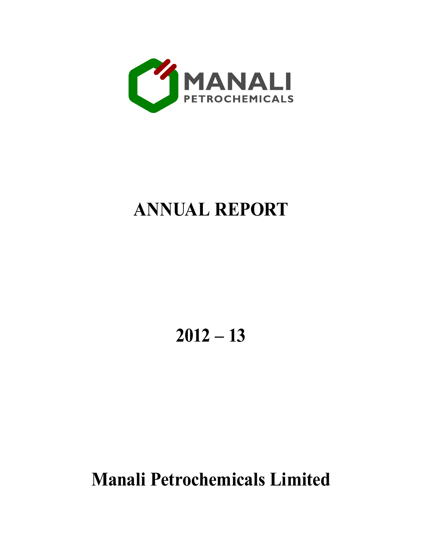

# **ANNUAL REPORT**

**2012 – 13**

**Manali Petrochemicals Limited**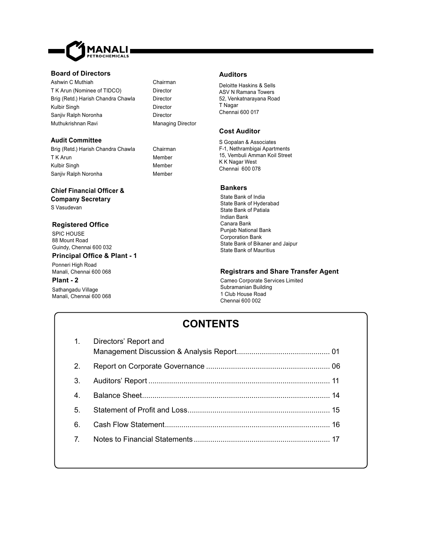

#### **Board of Directors**

Ashwin C Muthiah Chairman T K Arun (Nominee of TIDCO) Director Brig (Retd.) Harish Chandra Chawla Director Kulbir Singh **Director** Director Sanjiv Ralph Noronha **Director** Muthukrishnan Ravi **Managing Director** 

#### **Audit Committee**

Brig (Retd.) Harish Chandra Chawla Chairman T K Arun Member Kulbir Singh Member Sanjiv Ralph Noronha<br>
Member

### **Chief Financial Offi cer &**

**Company Secretary** S Vasudevan

#### **Registered Offi ce**

SPIC HOUSE 88 Mount Road Guindy, Chennai 600 032

#### **Principal Offi ce & Plant - 1**

Ponneri High Road Manali, Chennai 600 068

#### **Plant - 2**

Sathangadu Village Manali, Chennai 600 068

#### **Auditors**

Deloitte Haskins & Sells ASV N Ramana Towers 52, Venkatnarayana Road T Nagar Chennai 600 017

#### **Cost Auditor**

S Gopalan & Associates F-1, Nethrambigai Apartments 15, Vembuli Amman Koil Street K K Nagar West Chennai 600 078

#### **Bankers**

State Bank of India State Bank of Hyderabad State Bank of Patiala Indian Bank Canara Bank Punjab National Bank Corporation Bank State Bank of Bikaner and Jaipur State Bank of Mauritius

#### **Registrars and Share Transfer Agent**

Cameo Corporate Services Limited Subramanian Building 1 Club House Road Chennai 600 002

## **CONTENTS**

| 1.               | Directors' Report and |  |
|------------------|-----------------------|--|
| 2.               |                       |  |
| 3.               |                       |  |
| $\overline{4}$ . |                       |  |
| 5 <sub>1</sub>   |                       |  |
| 6.               |                       |  |
| $\overline{7}$   |                       |  |
|                  |                       |  |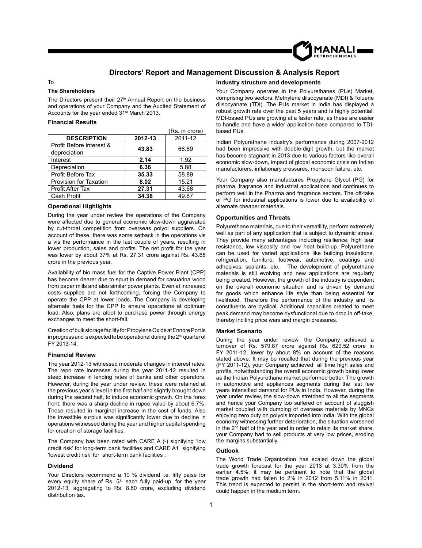

### **Directors' Report and Management Discussion & Analysis Report**

#### To

#### **The Shareholders**

The Directors present their 27<sup>th</sup> Annual Report on the business and operations of your Company and the Audited Statement of Accounts for the year ended 31<sup>st</sup> March 2013.

#### **Financial Results**

|                          |         | (Rs. in crore) |
|--------------------------|---------|----------------|
| <b>DESCRIPTION</b>       | 2012-13 | 2011-12        |
| Profit Before interest & | 43.83   | 66.69          |
| depreciation             |         |                |
| Interest                 | 2.14    | 1.92           |
| Depreciation             | 6.36    | 5.88           |
| Profit Before Tax        | 35.33   | 58.89          |
| Provision for Taxation   | 8.02    | 15.21          |
| <b>Profit After Tax</b>  | 27.31   | 43.68          |
| Cash Profit              | 34.38   | 49.87          |

#### **Operational Highlights**

During the year under review the operations of the Company were affected due to general economic slow-down aggravated by cut-throat competition from overseas polyol suppliers. On account of these, there was some setback in the operations vis a vis the performance in the last couple of years, resulting in lower production, sales and profits. The net profit for the year was lower by about 37% at Rs. 27.31 crore against Rs. 43.68 crore in the previous year.

Availability of bio mass fuel for the Captive Power Plant (CPP) has become dearer due to spurt in demand for casuarina wood from paper mills and also similar power plants. Even at increased costs supplies are not forthcoming, forcing the Company to operate the CPP at lower loads. The Company is developing alternate fuels for the CPP to ensure operations at optimum load. Also, plans are afoot to purchase power through energy exchanges to meet the short-fall.

Creation of bulk storage facility for Propylene Oxide at Ennore Port is in progress and is expected to be operational during the 2<sup>nd</sup> quarter of FY 2013-14.

#### **Financial Review**

The year 2012-13 witnessed moderate changes in interest rates. The repo rate increases during the year 2011-12 resulted in steep increase in lending rates of banks and other operators. However, during the year under review, these were retained at the previous year's level in the first half and slightly brought down during the second half, to induce economic growth. On the forex front, there was a sharp decline in rupee value by about 6.7%. These resulted in marginal increase in the cost of funds. Also the investible surplus was significantly lower due to decline in operations witnessed during the year and higher capital spending for creation of storage facilities.

The Company has been rated with CARE A (-) signifying 'low credit risk' for long-term bank facilities and CARE A1 signifying 'lowest credit risk' for short-term bank facilities .

#### **Dividend**

Your Directors recommend a 10 % dividend i.e. fifty paise for every equity share of Rs. 5/- each fully paid-up, for the year 2012-13, aggregating to Rs. 8.60 crore, excluding dividend distribution tax.

#### **Industry structure and developments**

Your Company operates in the Polyurethanes (PUs) Market, comprising two sectors: Methylene diisocyanate (MDI) & Toluene diisocyanate (TDI). The PUs market in India has displayed a robust growth rate over the past 5 years and is highly potential. MDI-based PUs are growing at a faster rate, as these are easier to handle and have a wider application base compared to TDIbased PUs.

Indian Polyurethane industry's performance during 2007-2012 had been impressive with double-digit growth, but the market has become stagnant in 2013 due to various factors like overall economic slow-down, impact of global economic crisis on Indian manufacturers, inflationary pressures, monsoon failure, etc.

Your Company also manufactures Propylene Glycol (PG) for pharma, fragrance and industrial applications and continues to perform well in the Pharma and fragrance sectors. The off-take of PG for industrial applications is lower due to availability of alternate cheaper materials.

#### **Opportunities and Threats**

Polyurethane materials, due to their versatility, perform extremely well as part of any application that is subject to dynamic stress. They provide many advantages including resilience, high tear resistance, low viscosity and low heat build-up. Polyurethane can be used for varied applications like building insulations, refrigeration, furniture, footwear, automotive, coatings and adhesives, sealants, etc. The development of polyurethane materials is still evolving and new applications are regularly being created. However, the growth of the industry is dependent on the overall economic situation and is driven by demand for goods which enhance life style than being essential for livelihood. Therefore the performance of the industry and its constituents are cyclical. Additional capacities created to meet peak demand may become dysfunctional due to drop in off-take, thereby inciting price wars and margin pressures.

#### **Market Scenario**

During the year under review, the Company achieved a turnover of Rs. 579.87 crore against Rs. 629.52 crore in FY 2011-12, lower by about 8% on account of the reasons stated above. It may be recalled that during the previous year (FY 2011-12), your Company achieved all time high sales and profits, notwithstanding the overall economic growth being lower as the Indian Polyurethane market performed better. The growth in automotive and appliances segments during the last few years intensified demand for PUs in India. However, during the year under review, the slow-down stretched to all the segments and hence your Company too suffered on account of sluggish market coupled with dumping of overseas materials by MNCs enjoying zero duty on polyols imported into India. With the global economy witnessing further deterioration, the situation worsened in the  $2<sup>nd</sup>$  half of the year and in order to retain its market share, your Company had to sell products at very low prices, eroding the margins substantially.

#### **Outlook**

The World Trade Organization has scaled down the global trade growth forecast for the year 2013 at 3.30% from the earlier 4.5%; it may be pertinent to note that the global trade growth had fallen to 2% in 2012 from 5.11% in 2011. This trend is expected to persist in the short-term and revival could happen in the medium term.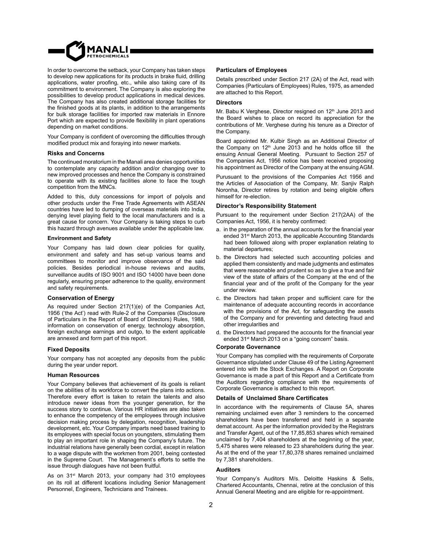

In order to overcome the setback, your Company has taken steps to develop new applications for its products in brake fluid, drilling applications, water proofing, etc., while also taking care of its commitment to environment. The Company is also exploring the possibilities to develop product applications in medical devices. The Company has also created additional storage facilities for the finished goods at its plants, in addition to the arrangements for bulk storage facilities for imported raw materials in Ennore Port which are expected to provide flexibility in plant operations depending on market conditions.

Your Company is confident of overcoming the difficulties through modified product mix and foraying into newer markets.

#### **Risks and Concerns**

The continued moratorium in the Manali area denies opportunities to contemplate any capacity addition and/or changing over to new improved processes and hence the Company is constrained to operate with its existing facilities alone to face the tough competition from the MNCs.

Added to this, duty concessions for import of polyols and other products under the Free Trade Agreements with ASEAN countries have led to dumping of overseas materials into India, denying level playing field to the local manufacturers and is a great cause for concern. Your Company is taking steps to curb this hazard through avenues available under the applicable law.

#### **Environment and Safety**

Your Company has laid down clear policies for quality, environment and safety and has set-up various teams and committees to monitor and improve observance of the said policies. Besides periodical in-house reviews and audits, surveillance audits of ISO 9001 and ISO 14000 have been done regularly, ensuring proper adherence to the quality, environment and safety requirements.

#### **Conservation of Energy**

As required under Section 217(1)(e) of the Companies Act, 1956 ('the Act') read with Rule-2 of the Companies (Disclosure of Particulars in the Report of Board of Directors) Rules, 1988, information on conservation of energy, technology absorption, foreign exchange earnings and outgo, to the extent applicable are annexed and form part of this report.

#### **Fixed Deposits**

Your company has not accepted any deposits from the public during the year under report.

#### **Human Resources**

Your Company believes that achievement of its goals is reliant on the abilities of its workforce to convert the plans into actions. Therefore every effort is taken to retain the talents and also introduce newer ideas from the younger generation, for the success story to continue. Various HR initiatives are also taken to enhance the competency of the employees through inclusive decision making process by delegation, recognition, leadership development, etc. Your Company imparts need based training to its employees with special focus on youngsters, stimulating them to play an important role in shaping the Company's future. The industrial relations have generally been cordial, except in relation to a wage dispute with the workmen from 2001, being contested in the Supreme Court. The Management's efforts to settle the issue through dialogues have not been fruitful.

As on 31<sup>st</sup> March 2013, your company had 310 employees on its roll at different locations including Senior Management Personnel, Engineers, Technicians and Trainees.

#### **Particulars of Employees**

Details prescribed under Section 217 (2A) of the Act, read with Companies (Particulars of Employees) Rules, 1975, as amended are attached to this Report.

#### **Directors**

Mr. Babu K Verghese, Director resigned on 12<sup>th</sup> June 2013 and the Board wishes to place on record its appreciation for the contributions of Mr. Verghese during his tenure as a Director of the Company.

Board appointed Mr. Kulbir Singh as an Additional Director of the Company on  $12<sup>th</sup>$  June 2013 and he holds office till the ensuing Annual General Meeting. Pursuant to Section 257 of the Companies Act, 1956 notice has been received proposing his appointment as Director of the Company at the ensuing AGM.

Purusuant to the provisions of the Companies Act 1956 and the Articles of Association of the Company, Mr. Sanjiv Ralph Noronha, Director retires by rotation and being eligible offers himself for re-election.

#### **Director's Responsibility Statement**

Pursuant to the requirement under Section 217(2AA) of the Companies Act, 1956, it is hereby confirmed:

- a. in the preparation of the annual accounts for the financial year ended 31<sup>st</sup> March 2013, the applicable Accounting Standards had been followed along with proper explanation relating to material departures;
- b. the Directors had selected such accounting policies and applied them consistently and made judgments and estimates that were reasonable and prudent so as to give a true and fair view of the state of affairs of the Company at the end of the financial year and of the profit of the Company for the year under review.
- c. the Directors had taken proper and sufficient care for the maintenance of adequate accounting records in accordance with the provisions of the Act, for safeguarding the assets of the Company and for preventing and detecting fraud and other irregularities and
- d. the Directors had prepared the accounts for the financial year ended 31<sup>st</sup> March 2013 on a "going concern" basis.

#### **Corporate Governance**

Your Company has complied with the requirements of Corporate Governance stipulated under Clause 49 of the Listing Agreement entered into with the Stock Exchanges. A Report on Corporate Governance is made a part of this Report and a Certificate from the Auditors regarding compliance with the requirements of Corporate Governance is attached to this report.

#### **Details of Unclaimed Share Certifi cates**

In accordance with the requirements of Clause 5A, shares remaining unclaimed even after 3 reminders to the concerned shareholders have been transferred and held in a separate demat account. As per the information provided by the Registrars and Transfer Agent, out of the 17,85,853 shares which remained unclaimed by  $7,404$  shareholders at the beginning of the year, 5,475 shares were released to 23 shareholders during the year. As at the end of the year 17,80,378 shares remained unclaimed by 7,381 shareholders.

#### **Auditors**

Your Company's Auditors M/s. Deloitte Haskins & Sells, Chartered Accountants, Chennai, retire at the conclusion of this Annual General Meeting and are eligible for re-appointment.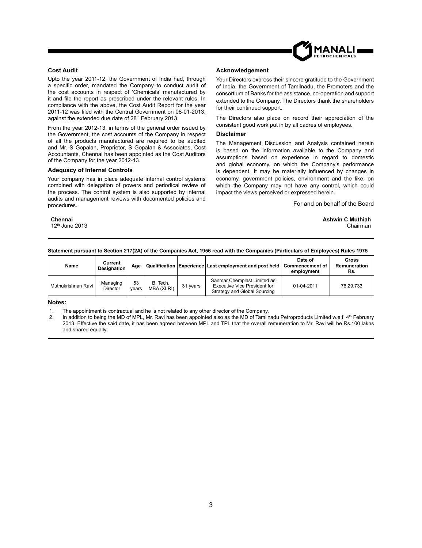

#### **Cost Audit**

Upto the year 2011-12, the Government of India had, through a specific order, mandated the Company to conduct audit of the cost accounts in respect of 'Chemicals' manufactured by it and file the report as prescribed under the relevant rules. In compliance with the above, the Cost Audit Report for the year 2011-12 was filed with the Central Government on 08-01-2013, against the extended due date of 28<sup>th</sup> February 2013.

From the year 2012-13, in terms of the general order issued by the Government, the cost accounts of the Company in respect of all the products manufactured are required to be audited and Mr. S Gopalan, Proprietor, S Gopalan & Associates, Cost Accountants, Chennai has been appointed as the Cost Auditors of the Company for the year 2012-13.

#### **Adequacy of Internal Controls**

Your company has in place adequate internal control systems combined with delegation of powers and periodical review of the process. The control system is also supported by internal audits and management reviews with documented policies and procedures.

#### **Acknowledgement**

Your Directors express their sincere gratitude to the Government of India, the Government of Tamilnadu, the Promoters and the consortium of Banks for the assistance, co-operation and support extended to the Company. The Directors thank the shareholders for their continued support.

The Directors also place on record their appreciation of the consistent good work put in by all cadres of employees.

#### **Disclaimer**

The Management Discussion and Analysis contained herein is based on the information available to the Company and assumptions based on experience in regard to domestic and global economy, on which the Company's performance is dependent. It may be materially influenced by changes in economy, government policies, environment and the like, on which the Company may not have any control, which could impact the views perceived or expressed herein.

For and on behalf of the Board

**Chennai Ashwin C Muthiah** 12th June 2013 Chairman

#### **Statement pursuant to Section 217(2A) of the Companies Act, 1956 read with the Companies (Particulars of Employees) Rules 1975**

| Name               | Current<br><b>Designation</b> | Age         |                        |          | Qualification Experience Last employment and post held                                             | Date of<br><b>Commencement of</b><br>employment | Gross<br>Remuneration<br>Rs. |
|--------------------|-------------------------------|-------------|------------------------|----------|----------------------------------------------------------------------------------------------------|-------------------------------------------------|------------------------------|
| Muthukrishnan Ravi | Managing<br>Director          | 53<br>vears | B. Tech.<br>MBA (XLRI) | 31 vears | Sanmar Chemplast Limited as<br><b>Executive Vice President for</b><br>Strategy and Global Sourcing | 01-04-2011                                      | 76.29.733                    |

#### **Notes:**

1. The appointment is contractual and he is not related to any other director of the Company.

2. In addition to being the MD of MPL, Mr. Ravi has been appointed also as the MD of Tamilnadu Petroproducts Limited w.e.f. 4th February 2013. Effective the said date, it has been agreed between MPL and TPL that the overall remuneration to Mr. Ravi will be Rs.100 lakhs and shared equally.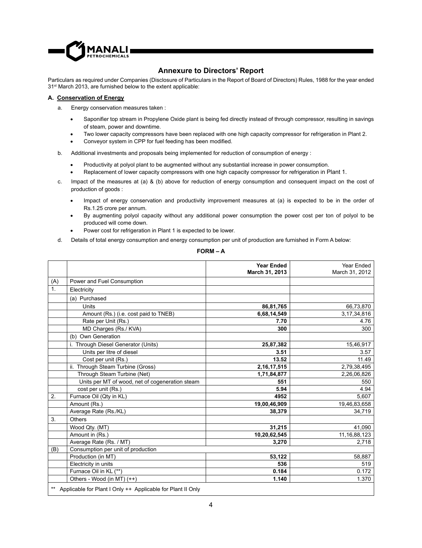

### **Annexure to Directors' Report**

Particulars as required under Companies (Disclosure of Particulars in the Report of Board of Directors) Rules, 1988 for the year ended 31st March 2013, are furnished below to the extent applicable:

#### **A. Conservation of Energy**

- a. Energy conservation measures taken :
	- Saponifier top stream in Propylene Oxide plant is being fed directly instead of through compressor, resulting in savings of steam, power and downtime.
	- Two lower capacity compressors have been replaced with one high capacity compressor for refrigeration in Plant 2.
	- Conveyor system in CPP for fuel feeding has been modified.
- b. Additional investments and proposals being implemented for reduction of consumption of energy :
	- Productivity at polyol plant to be augmented without any substantial increase in power consumption.
	- Replacement of lower capacity compressors with one high capacity compressor for refrigeration in Plant 1.
- c. Impact of the measures at (a) & (b) above for reduction of energy consumption and consequent impact on the cost of production of goods :
	- Impact of energy conservation and productivity improvement measures at (a) is expected to be in the order of Rs.1.25 crore per annum.
	- By augmenting polyol capacity without any additional power consumption the power cost per ton of polyol to be produced will come down.
	- Power cost for refrigeration in Plant 1 is expected to be lower.
- d. Details of total energy consumption and energy consumption per unit of production are furnished in Form A below:

| FORM – |  |
|--------|--|
|--------|--|

|     |                                                                | <b>Year Ended</b> | Year Ended      |
|-----|----------------------------------------------------------------|-------------------|-----------------|
|     |                                                                | March 31, 2013    | March 31, 2012  |
| (A) | Power and Fuel Consumption                                     |                   |                 |
| 1.  | Electricity                                                    |                   |                 |
|     | (a) Purchased                                                  |                   |                 |
|     | Units                                                          | 86,81,765         | 66,73,870       |
|     | Amount (Rs.) (i.e. cost paid to TNEB)                          | 6,68,14,549       | 3,17,34,816     |
|     | Rate per Unit (Rs.)                                            | 7.70              | 4.76            |
|     | MD Charges (Rs./ KVA)                                          | 300               | 300             |
|     | (b) Own Generation                                             |                   |                 |
|     | i. Through Diesel Generator (Units)                            | 25,87,382         | 15,46,917       |
|     | Units per litre of diesel                                      | 3.51              | 3.57            |
|     | Cost per unit (Rs.)                                            | 13.52             | 11.49           |
|     | ii. Through Steam Turbine (Gross)                              | 2, 16, 17, 515    | 2,79,38,495     |
|     | Through Steam Turbine (Net)                                    | 1,71,84,877       | 2,26,06,826     |
|     | Units per MT of wood, net of cogeneration steam                | 551               | 550             |
|     | cost per unit (Rs.)                                            | 5.94              | 4.94            |
| 2.  | Furnace Oil (Qty in KL)                                        | 4952              | 5,607           |
|     | Amount (Rs.)                                                   | 19,00,46,909      | 19,46,83,658    |
|     | Average Rate (Rs./KL)                                          | 38,379            | 34,719          |
| 3.  | Others                                                         |                   |                 |
|     | Wood Qty. (MT)                                                 | 31,215            | 41,090          |
|     | Amount in (Rs.)                                                | 10,20,62,545      | 11, 16, 88, 123 |
|     | Average Rate (Rs. / MT)                                        | 3,270             | 2,718           |
| (B) | Consumption per unit of production                             |                   |                 |
|     | Production (in MT)                                             | 53,122            | 58,887          |
|     | Electricity in units                                           | 536               | 519             |
|     | Furnace Oil in KL (**)                                         | 0.184             | 0.172           |
|     | Others - Wood (in MT) (++)                                     | 1.140             | 1.370           |
|     | ** Applicable for Plant I Only ++ Applicable for Plant II Only |                   |                 |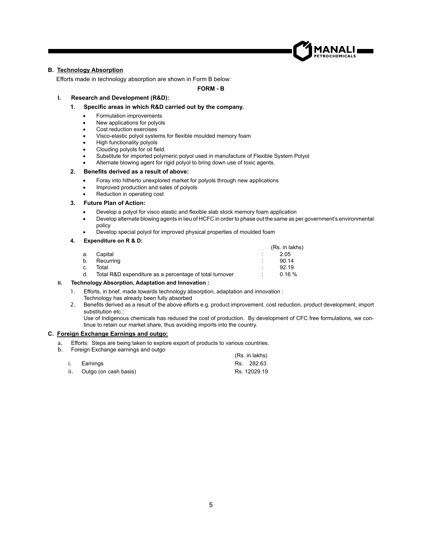

#### **B. Technology Absorption**

Efforts made in technology absorption are shown in Form B below:

**FORM - B**

#### **I. Research and Development (R&D):**

#### **1**. **Specifi c areas in which R&D carried out by the company.**

- Formulation improvements
- New applications for polyols
- Cost reduction exercises
- Visco-elastic polyol systems for flexible moulded memory foam
- High functionality polyols
- Clouding polyols for oil field.
- Substitute for imported polymeric polyol used in manufacture of Flexible System Polyol
- Alternate blowing agent for rigid polyol to bring down use of toxic agents.

#### **2. Benefi ts derived as a result of above:**

- Foray into hitherto unexplored market for polyols through new applications
- Improved production and sales of polyols
- Reduction in operating cost

#### **3. Future Plan of Action:**

- Develop a polyol for visco elastic and flexible slab stock memory foam application
- Develop alternate blowing agents in lieu of HCFC in order to phase out the same as per government's environmental policy
- Develop special polyol for improved physical properties of moulded foam

#### **4. Expenditure on R & D:**

|    |                                                         |   | (Rs. in lakhs) |
|----|---------------------------------------------------------|---|----------------|
| a. | Capital                                                 | ٠ | 2.05           |
| b. | Recurring                                               | ٠ | 90.14          |
| C. | Total                                                   | ٠ | 92.19          |
| d. | Total R&D expenditure as a percentage of total turnover | ٠ | 0.16%          |
|    |                                                         |   |                |

#### **II. Technology Absorption, Adaptation and Innovation :**

- 1. Efforts, in brief, made towards technology absorption, adaptation and innovation : Technology has already been fully absorbed
- 2. Benefits derived as a result of the above efforts e.g. product improvement, cost reduction, product development, import substitution etc.:

Use of Indigenous chemicals has reduced the cost of production. By development of CFC free formulations, we continue to retain our market share, thus avoiding imports into the country.

#### **C. Foreign Exchange Earnings and outgo:**

- a. Efforts: Steps are being taken to explore export of products to various countries.
- b. Foreign Exchange earnings and outgo

|                       | (Rs. in lakhs) |
|-----------------------|----------------|
| i. Earnings           | Rs. 282.63     |
| Outgo (on cash basis) | Rs. 12029.19   |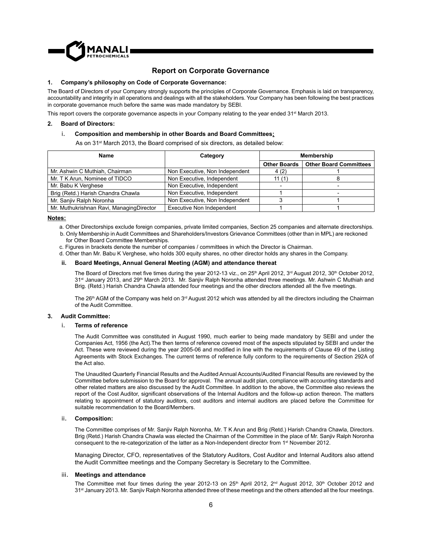

#### **Report on Corporate Governance**

#### **1. Company's philosophy on Code of Corporate Governance:**

The Board of Directors of your Company strongly supports the principles of Corporate Governance. Emphasis is laid on transparency, accountability and integrity in all operations and dealings with all the stakeholders. Your Company has been following the best practices in corporate governance much before the same was made mandatory by SEBI.

This report covers the corporate governance aspects in your Company relating to the year ended 31<sup>st</sup> March 2013.

#### **2. Board of Directors:**

#### i. **Composition and membership in other Boards and Board Committees:**

As on 31st March 2013, the Board comprised of six directors, as detailed below:

| Name                                     | Category                         | <b>Membership</b>   |                               |
|------------------------------------------|----------------------------------|---------------------|-------------------------------|
|                                          |                                  | <b>Other Boards</b> | <b>Other Board Committees</b> |
| Mr. Ashwin C Muthiah, Chairman           | Non Executive, Non Independent   | 4(2)                |                               |
| Mr. T K Arun, Nominee of TIDCO           | Non Executive, Independent       | 11 $(1)$            |                               |
| Mr. Babu K Verghese                      | Non Executive, Independent       |                     |                               |
| Brig (Retd.) Harish Chandra Chawla       | Non Executive, Independent       |                     |                               |
| Mr. Sanjiv Ralph Noronha                 | Non Executive, Non Independent   |                     |                               |
| Mr. Muthukrishnan Ravi, ManagingDirector | <b>Executive Non Independent</b> |                     |                               |

#### **Notes:**

a. Other Directorships exclude foreign companies, private limited companies, Section 25 companies and alternate directorships.

- b. Only Membership in Audit Committees and Shareholders/Investors Grievance Committees (other than in MPL) are reckoned for Other Board Committee Memberships.
- c. Figures in brackets denote the number of companies / committees in which the Director is Chairman.
- d. Other than Mr. Babu K Verghese, who holds 300 equity shares, no other director holds any shares in the Company.

#### **ii. Board Meetings, Annual General Meeting (AGM) and attendance thereat**

The Board of Directors met five times during the year 2012-13 viz., on 25th April 2012,  $3<sup>rd</sup>$  August 2012,  $30<sup>th</sup>$  October 2012, 31<sup>st</sup> January 2013, and 29<sup>th</sup> March 2013. Mr. Sanjiv Ralph Noronha attended three meetings. Mr. Ashwin C Muthiah and Brig. (Retd.) Harish Chandra Chawla attended four meetings and the other directors attended all the five meetings.

The 26<sup>th</sup> AGM of the Company was held on  $3<sup>rd</sup>$  August 2012 which was attended by all the directors including the Chairman of the Audit Committee.

#### **3. Audit Committee:**

#### i. **Terms of reference**

The Audit Committee was constituted in August 1990, much earlier to being made mandatory by SEBI and under the Companies Act, 1956 (the Act).The then terms of reference covered most of the aspects stipulated by SEBI and under the Act. These were reviewed during the year 2005-06 and modified in line with the requirements of Clause 49 of the Listing Agreements with Stock Exchanges. The current terms of reference fully conform to the requirements of Section 292A of the Act also.

The Unaudited Quarterly Financial Results and the Audited Annual Accounts/Audited Financial Results are reviewed by the Committee before submission to the Board for approval. The annual audit plan, compliance with accounting standards and other related matters are also discussed by the Audit Committee. In addition to the above, the Committee also reviews the report of the Cost Auditor, significant observations of the Internal Auditors and the follow-up action thereon. The matters relating to appointment of statutory auditors, cost auditors and internal auditors are placed before the Committee for suitable recommendation to the Board/Members.

#### ii. **Composition:**

The Committee comprises of Mr. Sanjiv Ralph Noronha, Mr. T K Arun and Brig (Retd.) Harish Chandra Chawla, Directors. Brig (Retd.) Harish Chandra Chawla was elected the Chairman of the Committee in the place of Mr. Sanjiv Ralph Noronha consequent to the re-categorization of the latter as a Non-Independent director from 1<sup>st</sup> November 2012.

Managing Director, CFO, representatives of the Statutory Auditors, Cost Auditor and Internal Auditors also attend the Audit Committee meetings and the Company Secretary is Secretary to the Committee.

#### iii. **Meetings and attendance**

The Committee met four times during the year 2012-13 on 25<sup>th</sup> April 2012, 2<sup>nd</sup> August 2012, 30<sup>th</sup> October 2012 and 31<sup>st</sup> January 2013. Mr. Sanjiv Ralph Noronha attended three of these meetings and the others attended all the four meetings.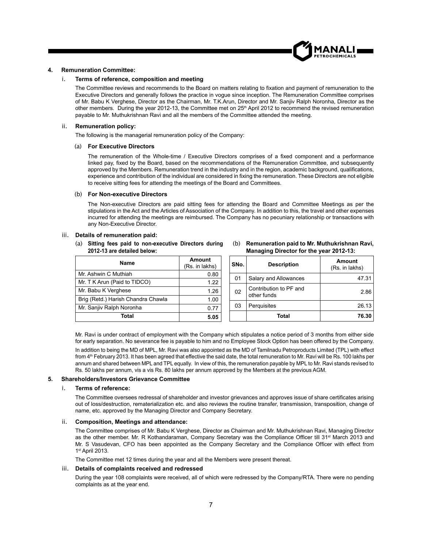

#### **4. Remuneration Committee:**

#### i. **Terms of reference, composition and meeting**

The Committee reviews and recommends to the Board on matters relating to fixation and payment of remuneration to the Executive Directors and generally follows the practice in vogue since inception. The Remuneration Committee comprises of Mr. Babu K Verghese, Director as the Chairman, Mr. T.K.Arun, Director and Mr. Sanjiv Ralph Noronha, Director as the other members. During the year 2012-13, the Committee met on 25<sup>th</sup> April 2012 to recommend the revised remuneration payable to Mr. Muthukrishnan Ravi and all the members of the Committee attended the meeting.

#### ii. **Remuneration policy:**

The following is the managerial remuneration policy of the Company:

#### (a) **For Executive Directors**

The remuneration of the Whole-time / Executive Directors comprises of a fixed component and a performance linked pay, fixed by the Board, based on the recommendations of the Remuneration Committee, and subsequently approved by the Members. Remuneration trend in the industry and in the region, academic background, qualifications, experience and contribution of the individual are considered in fixing the remuneration. These Directors are not eligible to receive sitting fees for attending the meetings of the Board and Committees.

#### (b) **For Non-executive Directors**

The Non-executive Directors are paid sitting fees for attending the Board and Committee Meetings as per the stipulations in the Act and the Articles of Association of the Company. In addition to this, the travel and other expenses incurred for attending the meetings are reimbursed. The Company has no pecuniary relationship or transactions with any Non-Executive Director.

#### iii. **Details of remuneration paid:**

(a) **Sitting fees paid to non-executive Directors during 2012-13 are detailed below:** 

| Name                               | Amount<br>(Rs. in lakhs) |
|------------------------------------|--------------------------|
| Mr. Ashwin C Muthiah               | 0.80                     |
| Mr. T K Arun (Paid to TIDCO)       | 1.22                     |
| Mr. Babu K Verghese                | 1.26                     |
| Brig (Retd.) Harish Chandra Chawla | 1.00                     |
| Mr. Sanjiv Ralph Noronha           | በ 77                     |
| Total                              | 5.05                     |

(b) **Remuneration paid to Mr. Muthukrishnan Ravi, Managing Director for the year 2012-13:**

| SNo. | <b>Description</b>                    | Amount<br>(Rs. in lakhs) |
|------|---------------------------------------|--------------------------|
| 01   | Salary and Allowances                 | 47.31                    |
| 02   | Contribution to PF and<br>other funds | 2.86                     |
| 03   | Perquisites                           | 26.13                    |
|      | Total                                 | 76.30                    |

Mr. Ravi is under contract of employment with the Company which stipulates a notice period of 3 months from either side for early separation. No severance fee is payable to him and no Employee Stock Option has been offered by the Company.

In addition to being the MD of MPL, Mr. Ravi was also appointed as the MD of Tamilnadu Petroproducts Limited (TPL) with effect from 4<sup>th</sup> February 2013. It has been agreed that effective the said date, the total remuneration to Mr. Ravi will be Rs. 100 lakhs per annum and shared between MPL and TPL equally. In view of this, the remuneration payable by MPL to Mr. Ravi stands revised to Rs. 50 lakhs per annum, vis a vis Rs. 80 lakhs per annum approved by the Members at the previous AGM.

#### **5. Shareholders/Investors Grievance Committee**

#### i. **Terms of reference:**

The Committee oversees redressal of shareholder and investor grievances and approves issue of share certificates arising out of loss/destruction, rematerialization etc. and also reviews the routine transfer, transmission, transposition, change of name, etc. approved by the Managing Director and Company Secretary.

#### ii. **Composition, Meetings and attendance:**

The Committee comprises of Mr. Babu K Verghese, Director as Chairman and Mr. Muthukrishnan Ravi, Managing Director as the other member. Mr. R Kothandaraman, Company Secretary was the Compliance Officer till 31<sup>st</sup> March 2013 and Mr. S Vasudevan, CFO has been appointed as the Company Secretary and the Compliance Officer with effect from 1 st April 2013.

The Committee met 12 times during the year and all the Members were present thereat.

#### iii. **Details of complaints received and redressed**

During the year 108 complaints were received, all of which were redressed by the Company/RTA. There were no pending complaints as at the year end.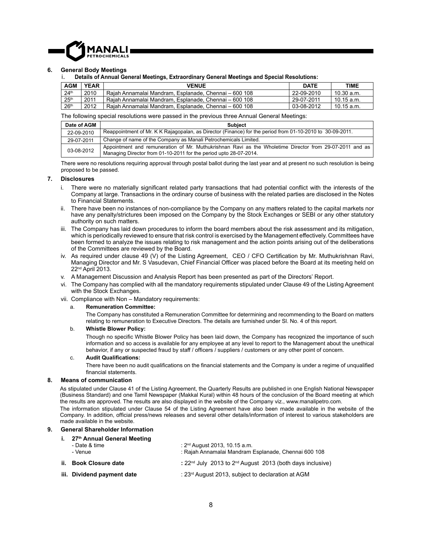

#### **6. General Body Meetings**

#### i. **Details of Annual General Meetings, Extraordinary General Meetings and Special Resolutions:**

| <b>AGM</b>       | <b>YEAR</b> | <b>VENUE</b>                                          | <b>DATE</b> | TIME         |
|------------------|-------------|-------------------------------------------------------|-------------|--------------|
| 24 <sup>th</sup> | 2010        | Raiah Annamalai Mandram. Esplanade. Chennai – 600 108 | 22-09-2010  | 10.30 a.m.   |
| 25 <sup>th</sup> | 2011        | Raiah Annamalai Mandram. Esplanade. Chennai – 600 108 | 29-07-2011  | $10.15$ a.m. |
| 26 <sup>th</sup> | 2012        | Raiah Annamalai Mandram. Esplanade. Chennai – 600 108 | 03-08-2012  | 10.15 a.m.   |

The following special resolutions were passed in the previous three Annual General Meetings:

| Date of AGM | <b>Subject</b>                                                                                                                                                               |
|-------------|------------------------------------------------------------------------------------------------------------------------------------------------------------------------------|
| 22-09-2010  | Reappointment of Mr. K K Rajagopalan, as Director (Finance) for the period from 01-10-2010 to 30-09-2011.                                                                    |
| 29-07-2011  | Change of name of the Company as Manali Petrochemicals Limited.                                                                                                              |
| 03-08-2012  | Appointment and remuneration of Mr. Muthukrishnan Ravi as the Wholetime Director from 29-07-2011 and as<br>Managing Director from 01-10-2011 for the period upto 28-07-2014. |

There were no resolutions requiring approval through postal ballot during the last year and at present no such resolution is being proposed to be passed.

#### **7. Disclosures**

- i. There were no materially significant related party transactions that had potential conflict with the interests of the Company at large. Transactions in the ordinary course of business with the related parties are disclosed in the Notes to Financial Statements.
- ii. There have been no instances of non-compliance by the Company on any matters related to the capital markets nor have any penalty/strictures been imposed on the Company by the Stock Exchanges or SEBI or any other statutory authority on such matters.
- iii. The Company has laid down procedures to inform the board members about the risk assessment and its mitigation, which is periodically reviewed to ensure that risk control is exercised by the Management effectively. Committees have been formed to analyze the issues relating to risk management and the action points arising out of the deliberations of the Committees are reviewed by the Board.
- iv. As required under clause 49 (V) of the Listing Agreement, CEO / CFO Certification by Mr. Muthukrishnan Ravi, Managing Director and Mr. S Vasudevan, Chief Financial Officer was placed before the Board at its meeting held on 22nd April 2013.
- v. A Management Discussion and Analysis Report has been presented as part of the Directors' Report.
- vi. The Company has complied with all the mandatory requirements stipulated under Clause 49 of the Listing Agreement with the Stock Exchanges.
- vii. Compliance with Non Mandatory requirements:

#### a. **Remuneration Committee:**

 The Company has constituted a Remuneration Committee for determining and recommending to the Board on matters relating to remuneration to Executive Directors. The details are furnished under Sl. No. 4 of this report.

#### b. **Whistle Blower Policy:**

Though no specific Whistle Blower Policy has been laid down, the Company has recognized the importance of such information and so access is available for any employee at any level to report to the Management about the unethical behavior, if any or suspected fraud by staff / officers / suppliers / customers or any other point of concern.

#### c. **Audit Qualifi cations:**

There have been no audit qualifications on the financial statements and the Company is under a regime of unqualified financial statements.

#### **8. Means of communication**

As stipulated under Clause 41 of the Listing Agreement, the Quarterly Results are published in one English National Newspaper (Business Standard) and one Tamil Newspaper (Makkal Kural) within 48 hours of the conclusion of the Board meeting at which the results are approved. The results are also displayed in the website of the Company viz., www.manalipetro.com. The information stipulated under Clause 54 of the Listing Agreement have also been made available in the website of the

Company. In addition, official press/news releases and several other details/information of interest to various stakeholders are made available in the website.

#### **9. General Shareholder Information**

#### **i. 27th Annual General Meeting**

| - Date & time<br>- Venue   | : $2nd$ August 2013, 10.15 a.m.<br>: Rajah Annamalai Mandram Esplanade, Chennai 600 108 |
|----------------------------|-----------------------------------------------------------------------------------------|
| ii.    Book Closure date   | : $22nd$ July 2013 to $2nd$ August 2013 (both days inclusive)                           |
| iii. Dividend payment date | : 23rd August 2013, subject to declaration at AGM                                       |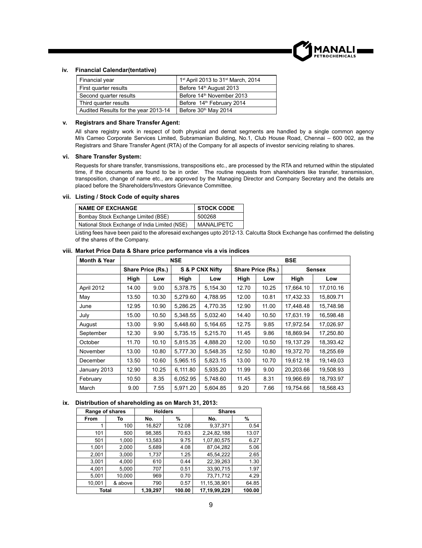

#### **iv. Financial Calendar(tentative)**

| Financial year                       | 1 <sup>st</sup> April 2013 to 31 <sup>st</sup> March, 2014 |
|--------------------------------------|------------------------------------------------------------|
| First quarter results                | Before 14 <sup>th</sup> August 2013                        |
| Second quarter results               | Before 14 <sup>th</sup> November 2013                      |
| Third quarter results                | Before 14 <sup>th</sup> February 2014                      |
| Audited Results for the year 2013-14 | Before 30 <sup>th</sup> May 2014                           |

#### **v. Registrars and Share Transfer Agent:**

All share registry work in respect of both physical and demat segments are handled by a single common agency M/s Cameo Corporate Services Limited, Subramanian Building, No.1, Club House Road, Chennai – 600 002, as the Registrars and Share Transfer Agent (RTA) of the Company for all aspects of investor servicing relating to shares.

#### **vi. Share Transfer System:**

Requests for share transfer, transmissions, transpositions etc., are processed by the RTA and returned within the stipulated time, if the documents are found to be in order. The routine requests from shareholders like transfer, transmission, transposition, change of name etc., are approved by the Managing Director and Company Secretary and the details are placed before the Shareholders/Investors Grievance Committee.

#### **vii. Listing / Stock Code of equity shares**

| <b>NAME OF EXCHANGE</b>                        | <b>STOCK CODE</b> |
|------------------------------------------------|-------------------|
| Bombay Stock Exchange Limited (BSE)            | 500268            |
| National Stock Exchange of India Limited (NSE) | <b>MANALIPETC</b> |

Listing fees have been paid to the aforesaid exchanges upto 2012-13. Calcutta Stock Exchange has confirmed the delisting of the shares of the Company.

| <b>Month &amp; Year</b> | <b>NSE</b>        |       |          | <b>BSE</b>      |       |                   |           |               |  |
|-------------------------|-------------------|-------|----------|-----------------|-------|-------------------|-----------|---------------|--|
|                         | Share Price (Rs.) |       |          | S & P CNX Nifty |       | Share Price (Rs.) |           | <b>Sensex</b> |  |
|                         | High              | Low   | High     | Low             | High  | Low               | High      | Low           |  |
| April 2012              | 14.00             | 9.00  | 5,378.75 | 5,154.30        | 12.70 | 10.25             | 17,664.10 | 17,010.16     |  |
| May                     | 13.50             | 10.30 | 5,279.60 | 4,788.95        | 12.00 | 10.81             | 17,432.33 | 15,809.71     |  |
| June                    | 12.95             | 10.90 | 5,286.25 | 4,770.35        | 12.90 | 11.00             | 17,448.48 | 15,748.98     |  |
| July                    | 15.00             | 10.50 | 5,348.55 | 5,032.40        | 14.40 | 10.50             | 17,631.19 | 16,598.48     |  |
| August                  | 13.00             | 9.90  | 5,448.60 | 5,164.65        | 12.75 | 9.85              | 17,972.54 | 17,026.97     |  |
| September               | 12.30             | 9.90  | 5.735.15 | 5.215.70        | 11.45 | 9.86              | 18.869.94 | 17.250.80     |  |
| October                 | 11.70             | 10.10 | 5,815.35 | 4,888.20        | 12.00 | 10.50             | 19,137.29 | 18,393.42     |  |
| November                | 13.00             | 10.80 | 5,777.30 | 5,548.35        | 12.50 | 10.80             | 19,372.70 | 18,255.69     |  |
| December                | 13.50             | 10.60 | 5,965.15 | 5,823.15        | 13.00 | 10.70             | 19.612.18 | 19,149.03     |  |
| January 2013            | 12.90             | 10.25 | 6,111.80 | 5,935.20        | 11.99 | 9.00              | 20,203.66 | 19,508.93     |  |
| February                | 10.50             | 8.35  | 6,052.95 | 5,748.60        | 11.45 | 8.31              | 19,966.69 | 18,793.97     |  |
| March                   | 9.00              | 7.55  | 5,971.20 | 5.604.85        | 9.20  | 7.66              | 19.754.66 | 18.568.43     |  |

#### **viii. Market Price Data & Share price performance vis a vis indices**

#### **ix. Distribution of shareholding as on March 31, 2013:**

| Range of shares |         | <b>Holders</b> |        | <b>Shares</b>   |        |
|-----------------|---------|----------------|--------|-----------------|--------|
| <b>From</b>     | То      | No.            | %      | No.             | %      |
|                 | 100     | 16,827         | 12.08  | 9,37,371        | 0.54   |
| 101             | 500     | 98,385         | 70.63  | 2,24,82,188     | 13.07  |
| 501             | 1,000   | 13,583         | 9.75   | 1,07,80,575     | 6.27   |
| 1.001           | 2,000   | 5,689          | 4.08   | 87.04.282       | 5.06   |
| 2,001           | 3,000   | 1,737          | 1.25   | 45,54,222       | 2.65   |
| 3,001           | 4,000   | 610            | 0.44   | 22,39,263       | 1.30   |
| 4,001           | 5,000   | 707            | 0.51   | 33,90,715       | 1.97   |
| 5,001           | 10,000  | 969            | 0.70   | 73,71,712       | 4.29   |
| 10,001          | & above | 790            | 0.57   | 11, 15, 38, 901 | 64.85  |
| Total           |         | 1,39,297       | 100.00 | 17.19.99.229    | 100.00 |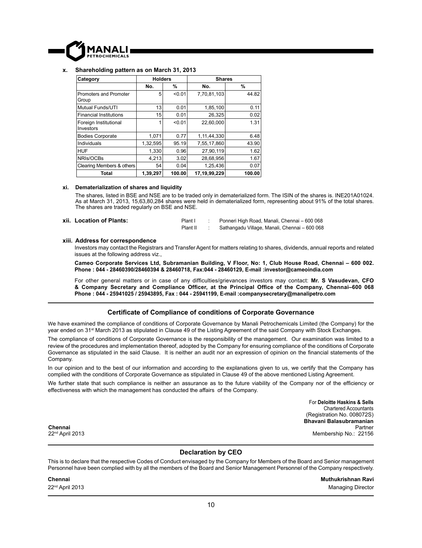

#### **x. Shareholding pattern as on March 31, 2013**

| Category                           | <b>Holders</b> |        | <b>Shares</b> |        |
|------------------------------------|----------------|--------|---------------|--------|
|                                    | No.            | %      | No.           | %      |
| Promoters and Promoter<br>Group    | 5              | < 0.01 | 7,70,81,103   | 44.82  |
| Mutual Funds/UTI                   | 13             | 0.01   | 1,85,100      | 0.11   |
| <b>Financial Institutions</b>      | 15             | 0.01   | 26.325        | 0.02   |
| Foreign Institutional<br>Investors | 1              | < 0.01 | 22.60.000     | 1.31   |
| <b>Bodies Corporate</b>            | 1,071          | 0.77   | 1,11,44,330   | 6.48   |
| Individuals                        | 1,32,595       | 95.19  | 7,55,17,860   | 43.90  |
| <b>HUF</b>                         | 1,330          | 0.96   | 27.90.119     | 1.62   |
| NRIs/OCBs                          | 4.213          | 3.02   | 28,68,956     | 1.67   |
| Clearing Members & others          | 54             | 0.04   | 1,25,436      | 0.07   |
| Total                              | 1,39,297       | 100.00 | 17,19,99,229  | 100.00 |

#### **xi. Dematerialization of shares and liquidity**

The shares, listed in BSE and NSE are to be traded only in dematerialized form. The ISIN of the shares is. INE201A01024. As at March 31, 2013, 15,63,80,284 shares were held in dematerialized form, representing about 91% of the total shares. The shares are traded regularly on BSE and NSE.

**xii. Location of Plants:** Plant I : Ponneri High Road, Manali, Chennai – 600 068

Plant II : Sathangadu Village, Manali, Chennai – 600 068

#### **xiii. Address for correspondence**

 Investors may contact the Registrars and Transfer Agent for matters relating to shares, dividends, annual reports and related issues at the following address viz.,

 **Cameo Corporate Services Ltd, Subramanian Building, V Floor, No: 1, Club House Road, Chennai – 600 002. Phone : 044 - 28460390/28460394 & 28460718, Fax:044 - 28460129, E-mail :investor@cameoindia.com**

For other general matters or in case of any difficulties/grievances investors may contact: Mr. S Vasudevan, CFO **& Company Secretary and Compliance Offi cer, at the Principal Offi ce of the Company, Chennai–600 068 Phone : 044 - 25941025 / 25943895, Fax : 044 - 25941199, E-mail :companysecretary@manalipetro.com**

#### **Certifi cate of Compliance of conditions of Corporate Governance**

We have examined the compliance of conditions of Corporate Governance by Manali Petrochemicals Limited (the Company) for the year ended on 31st March 2013 as stipulated in Clause 49 of the Listing Agreement of the said Company with Stock Exchanges.

The compliance of conditions of Corporate Governance is the responsibility of the management. Our examination was limited to a review of the procedures and implementation thereof, adopted by the Company for ensuring compliance of the conditions of Corporate Governance as stipulated in the said Clause. It is neither an audit nor an expression of opinion on the financial statements of the Company.

In our opinion and to the best of our information and according to the explanations given to us, we certify that the Company has complied with the conditions of Corporate Governance as stipulated in Clause 49 of the above mentioned Listing Agreement.

We further state that such compliance is neither an assurance as to the future viability of the Company nor of the efficiency or effectiveness with which the management has conducted the affairs of the Company.

> For **Deloitte Haskins & Sells** Chartered Accountants (Registration No. 008072S) **Bhavani Balasubramanian** Partner Membership No.: 22156

**Chennai** 22nd April 2013

**Declaration by CEO**

This is to declare that the respective Codes of Conduct envisaged by the Company for Members of the Board and Senior management Personnel have been complied with by all the members of the Board and Senior Management Personnel of the Company respectively.

**Chennai Muthukrishnan Ravi** 22<sup>nd</sup> April 2013 Managing Director Control and Security April 2013 Managing Director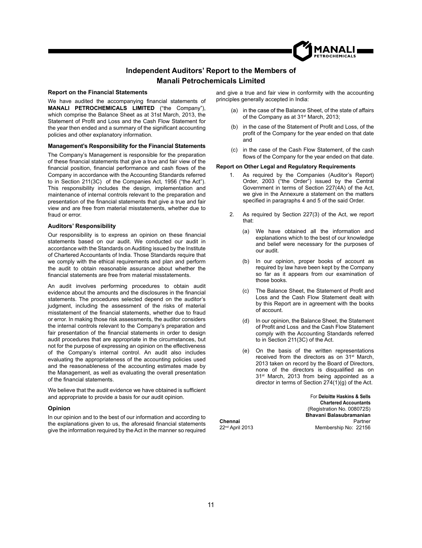### **Independent Auditors' Report to the Members of Manali Petrochemicals Limited**

#### **Report on the Financial Statements**

We have audited the accompanying financial statements of **MANALI PETROCHEMICALS LIMITED** ("the Company"), which comprise the Balance Sheet as at 31st March, 2013, the Statement of Profit and Loss and the Cash Flow Statement for the year then ended and a summary of the significant accounting policies and other explanatory information.

#### **Management's Responsibility for the Financial Statements**

The Company's Management is responsible for the preparation of these financial statements that give a true and fair view of the financial position, financial performance and cash flows of the Company in accordance with the Accounting Standards referred to in Section 211(3C) of the Companies Act, 1956 ("the Act"). This responsibility includes the design, implementation and maintenance of internal controls relevant to the preparation and presentation of the financial statements that give a true and fair view and are free from material misstatements, whether due to fraud or error.

#### **Auditors' Responsibility**

Our responsibility is to express an opinion on these financial statements based on our audit. We conducted our audit in accordance with the Standards on Auditing issued by the Institute of Chartered Accountants of India. Those Standards require that we comply with the ethical requirements and plan and perform the audit to obtain reasonable assurance about whether the financial statements are free from material misstatements.

An audit involves performing procedures to obtain audit evidence about the amounts and the disclosures in the financial statements. The procedures selected depend on the auditor's judgment, including the assessment of the risks of material misstatement of the financial statements, whether due to fraud or error. In making those risk assessments, the auditor considers the internal controls relevant to the Company's preparation and fair presentation of the financial statements in order to design audit procedures that are appropriate in the circumstances, but not for the purpose of expressing an opinion on the effectiveness of the Company's internal control. An audit also includes evaluating the appropriateness of the accounting policies used and the reasonableness of the accounting estimates made by the Management, as well as evaluating the overall presentation of the financial statements.

We believe that the audit evidence we have obtained is sufficient and appropriate to provide a basis for our audit opinion.

#### **Opinion**

In our opinion and to the best of our information and according to the explanations given to us, the aforesaid financial statements give the information required by the Act in the manner so required and give a true and fair view in conformity with the accounting principles generally accepted in India:

- (a) in the case of the Balance Sheet, of the state of affairs of the Company as at 31st March, 2013;
- (b) in the case of the Statement of Profit and Loss, of the profit of the Company for the year ended on that date and
- (c) in the case of the Cash Flow Statement, of the cash flows of the Company for the year ended on that date.

#### **Report on Other Legal and Regulatory Requirements**

- 1. As required by the Companies (Auditor's Report) Order, 2003 ("the Order") issued by the Central Government in terms of Section 227(4A) of the Act, we give in the Annexure a statement on the matters specified in paragraphs 4 and 5 of the said Order.
- 2. As required by Section 227(3) of the Act, we report that:
	- (a) We have obtained all the information and explanations which to the best of our knowledge and belief were necessary for the purposes of our audit.
	- (b) In our opinion, proper books of account as required by law have been kept by the Company so far as it appears from our examination of those books.
	- (c) The Balance Sheet, the Statement of Profit and Loss and the Cash Flow Statement dealt with by this Report are in agreement with the books of account.
	- (d) In our opinion, the Balance Sheet, the Statement of Profit and Loss and the Cash Flow Statement comply with the Accounting Standards referred to in Section 211(3C) of the Act.
	- (e) On the basis of the written representations received from the directors as on 31<sup>st</sup> March, 2013 taken on record by the Board of Directors, none of the directors is disqualified as on 31<sup>st</sup> March, 2013 from being appointed as a director in terms of Section 274(1)(g) of the Act.

For **Deloitte Haskins & Sells Chartered Accountants** (Registration No. 008072S) **Bhavani Balasubramanian** Partner Membership No: 22156

11

**Chennai** 22nd April 2013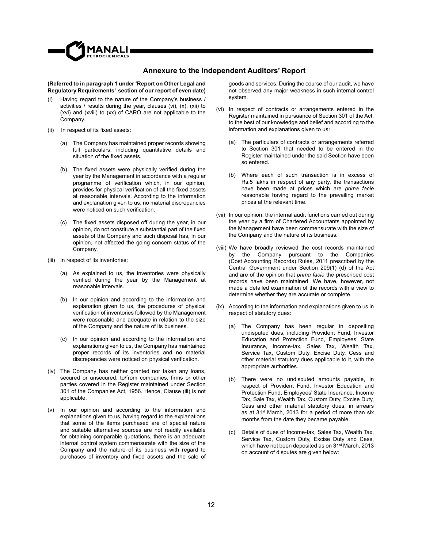

#### **Annexure to the Independent Auditors' Report**

#### **(Referred to in paragraph 1 under 'Report on Other Legal and Regulatory Requirements' section of our report of even date)**

- (i) Having regard to the nature of the Company's business / activities / results during the year, clauses (vi), (x), (xii) to (xvi) and (xviii) to (xx) of CARO are not applicable to the Company.
- (ii) In respect of its fixed assets:
	- (a) The Company has maintained proper records showing full particulars, including quantitative details and situation of the fixed assets.
	- $(b)$  The fixed assets were physically verified during the year by the Management in accordance with a regular programme of verification which, in our opinion, provides for physical verification of all the fixed assets at reasonable intervals. According to the information and explanation given to us, no material discrepancies were noticed on such verification.
	- (c) The fixed assets disposed off during the year, in our opinion, do not constitute a substantial part of the fixed assets of the Company and such disposal has, in our opinion, not affected the going concern status of the Company.
- (iii) In respect of its inventories:
	- (a) As explained to us, the inventories were physically verified during the year by the Management at reasonable intervals.
	- (b) In our opinion and according to the information and explanation given to us, the procedures of physical verification of inventories followed by the Management were reasonable and adequate in relation to the size of the Company and the nature of its business.
	- (c) In our opinion and according to the information and explanations given to us, the Company has maintained proper records of its inventories and no material discrepancies were noticed on physical verification.
- (iv) The Company has neither granted nor taken any loans, secured or unsecured, to/from companies, firms or other parties covered in the Register maintained under Section 301 of the Companies Act, 1956. Hence, Clause (iii) is not applicable.
- (v) In our opinion and according to the information and explanations given to us, having regard to the explanations that some of the items purchased are of special nature and suitable alternative sources are not readily available for obtaining comparable quotations, there is an adequate internal control system commensurate with the size of the Company and the nature of its business with regard to purchases of inventory and fixed assets and the sale of

goods and services. During the course of our audit, we have not observed any major weakness in such internal control system.

- (vi) In respect of contracts or arrangements entered in the Register maintained in pursuance of Section 301 of the Act, to the best of our knowledge and belief and according to the information and explanations given to us:
	- (a) The particulars of contracts or arrangements referred to Section 301 that needed to be entered in the Register maintained under the said Section have been so entered.
	- (b) Where each of such transaction is in excess of Rs.5 lakhs in respect of any party, the transactions have been made at prices which are *prima facie*  reasonable having regard to the prevailing market prices at the relevant time.
- (vii) In our opinion, the internal audit functions carried out during the year by a firm of Chartered Accountants appointed by the Management have been commensurate with the size of the Company and the nature of its business.
- (viii) We have broadly reviewed the cost records maintained by the Company pursuant to the Companies (Cost Accounting Records) Rules, 2011 prescribed by the Central Government under Section 209(1) (d) of the Act and are of the opinion that *prima facie* the prescribed cost records have been maintained. We have, however, not made a detailed examination of the records with a view to determine whether they are accurate or complete.
- (ix) According to the information and explanations given to us in respect of statutory dues:
	- (a) The Company has been regular in depositing undisputed dues, including Provident Fund, Investor Education and Protection Fund, Employees' State Insurance, Income-tax, Sales Tax, Wealth Tax, Service Tax, Custom Duty, Excise Duty, Cess and other material statutory dues applicable to it, with the appropriate authorities.
	- (b) There were no undisputed amounts payable, in respect of Provident Fund, Investor Education and Protection Fund, Employees' State Insurance, Income Tax, Sale Tax, Wealth Tax, Custom Duty, Excise Duty, Cess and other material statutory dues, in arrears as at 31<sup>st</sup> March, 2013 for a period of more than six months from the date they became payable.
	- (c) Details of dues of Income-tax, Sales Tax, Wealth Tax, Service Tax, Custom Duty, Excise Duty and Cess, which have not been deposited as on 31<sup>st</sup> March, 2013 on account of disputes are given below: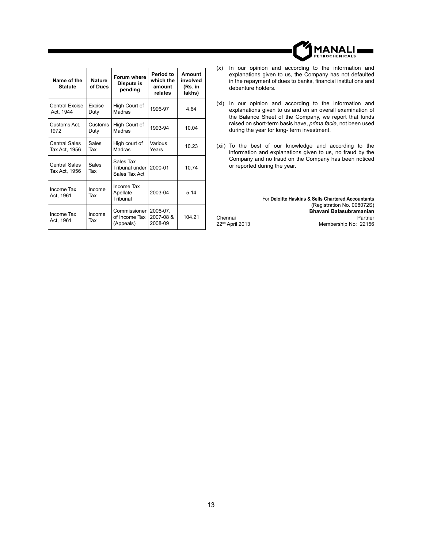| Name of the<br><b>Statute</b>         | <b>Nature</b><br>of Dues | Forum where<br>Dispute is<br>pending         | Period to<br>which the<br>amount<br>relates | Amount<br>involved<br>(Rs. in<br>lakhs) |
|---------------------------------------|--------------------------|----------------------------------------------|---------------------------------------------|-----------------------------------------|
| Central Excise<br>Act, 1944           | Excise<br>Duty           | High Court of<br>Madras                      | 1996-97                                     | 4.64                                    |
| Customs Act.<br>1972                  | Customs<br>Duty          | High Court of<br>Madras                      | 1993-94                                     | 10.04                                   |
| <b>Central Sales</b><br>Tax Act, 1956 | Sales<br>Tax             | High court of<br>Madras                      | Various<br>Years                            | 10.23                                   |
| <b>Central Sales</b><br>Tax Act, 1956 | Sales<br>Tax             | Sales Tax<br>Tribunal under<br>Sales Tax Act | 2000-01                                     | 10.74                                   |
| Income Tax<br>Act, 1961               | Income<br>Tax            | Income Tax<br>Apellate<br>Tribunal           | 2003-04                                     | 5.14                                    |
| Income Tax<br>Act, 1961               | Income<br>Tax            | Commissioner I<br>of Income Tax<br>(Appeals) | 2006-07.<br>2007-08 &<br>2008-09            | 104.21                                  |

- (x) In our opinion and according to the information and explanations given to us, the Company has not defaulted in the repayment of dues to banks, financial institutions and debenture holders.
- (xi) In our opinion and according to the information and explanations given to us and on an overall examination of the Balance Sheet of the Company, we report that funds raised on short-term basis have, *prima facie*, not been used during the year for long- term investment.
- (xii) To the best of our knowledge and according to the information and explanations given to us, no fraud by the Company and no fraud on the Company has been noticed or reported during the year.

For **Deloitte Haskins & Sells Chartered Accountants** (Registration No. 008072S) **Bhavani Balasubramanian** Partner Membership No: 22156

Chennai 22nd April 2013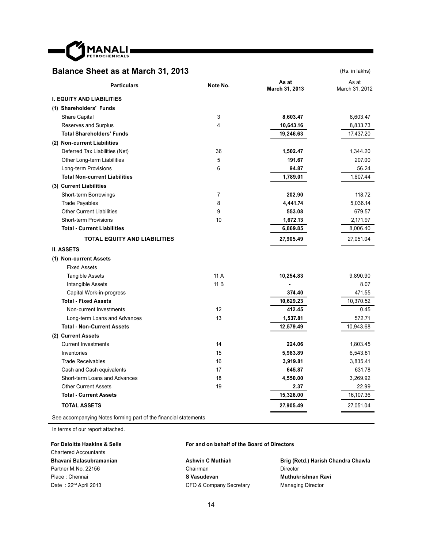

## **Balance Sheet as at March 31, 2013** (Rs. in lakhs)

| <b>Particulars</b>                   | Note No. | As at<br>March 31, 2013 | As at<br>March 31, 2012 |
|--------------------------------------|----------|-------------------------|-------------------------|
| <b>I. EQUITY AND LIABILITIES</b>     |          |                         |                         |
| (1) Shareholders' Funds              |          |                         |                         |
| <b>Share Capital</b>                 | 3        | 8,603.47                | 8,603.47                |
| Reserves and Surplus                 | 4        | 10,643.16               | 8,833.73                |
| <b>Total Shareholders' Funds</b>     |          | 19,246.63               | 17,437.20               |
| (2) Non-current Liabilities          |          |                         |                         |
| Deferred Tax Liabilities (Net)       | 36       | 1,502.47                | 1,344.20                |
| Other Long-term Liabilities          | 5        | 191.67                  | 207.00                  |
| Long-term Provisions                 | 6        | 94.87                   | 56.24                   |
| <b>Total Non-current Liabilities</b> |          | 1,789.01                | 1,607.44                |
| (3) Current Liabilities              |          |                         |                         |
| Short-term Borrowings                | 7        | 202.90                  | 118.72                  |
| <b>Trade Payables</b>                | 8        | 4,441.74                | 5,036.14                |
| <b>Other Current Liabilities</b>     | 9        | 553.08                  | 679.57                  |
| <b>Short-term Provisions</b>         | 10       | 1,672.13                | 2,171.97                |
| <b>Total - Current Liabilities</b>   |          | 6,869.85                | 8,006.40                |
| <b>TOTAL EQUITY AND LIABILITIES</b>  |          | 27,905.49               | 27,051.04               |
| <b>II. ASSETS</b>                    |          |                         |                         |
| (1) Non-current Assets               |          |                         |                         |
| <b>Fixed Assets</b>                  |          |                         |                         |
| <b>Tangible Assets</b>               | 11 A     | 10,254.83               | 9,890.90                |
| Intangible Assets                    | 11 B     |                         | 8.07                    |
| Capital Work-in-progress             |          | 374.40                  | 471.55                  |
| <b>Total - Fixed Assets</b>          |          | 10,629.23               | 10,370.52               |
| Non-current Investments              | 12       | 412.45                  | 0.45                    |
| Long-term Loans and Advances         | 13       | 1,537.81                | 572.71                  |
| <b>Total - Non-Current Assets</b>    |          | 12,579.49               | 10,943.68               |
| (2) Current Assets                   |          |                         |                         |
| <b>Current Investments</b>           | 14       | 224.06                  | 1,803.45                |
| Inventories                          | 15       | 5,983.89                | 6,543.81                |
| <b>Trade Receivables</b>             | 16       | 3,919.81                | 3,835.41                |
| Cash and Cash equivalents            | 17       | 645.87                  | 631.78                  |
| Short-term Loans and Advances        | 18       | 4,550.00                | 3,269.92                |
| <b>Other Current Assets</b>          | 19       | 2.37                    | 22.99                   |
| <b>Total - Current Assets</b>        |          | 15,326.00               | 16,107.36               |
| <b>TOTAL ASSETS</b>                  |          | 27,905.49               | 27,051.04               |
|                                      |          |                         |                         |

See accompanying Notes forming part of the financial statements

In terms of our report attached.

**For Deloitte Haskins & Sells** Chartered Accountants **Bhavani Balasubramanian** Partner M.No. 22156 Place : Chennai Date: 22<sup>nd</sup> April 2013

#### **For and on behalf of the Board of Directors**

**Ashwin C Muthiah** Chairman **S Vasudevan** CFO & Company Secretary

**Brig (Retd.) Harish Chandra Chawla** Director **Muthukrishnan Ravi** Managing Director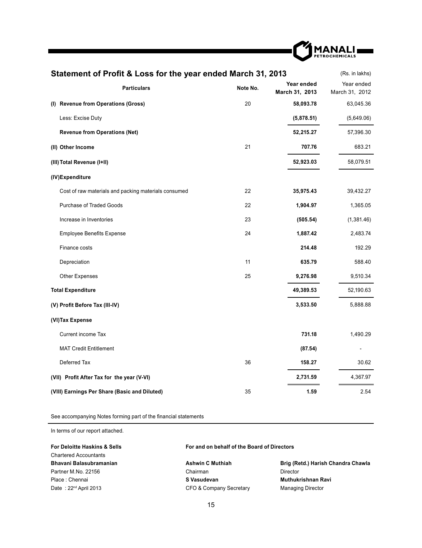

| Statement of Profit & Loss for the year ended March 31, 2013<br>(Rs. in lakhs) |          |                              |                              |  |  |
|--------------------------------------------------------------------------------|----------|------------------------------|------------------------------|--|--|
| <b>Particulars</b>                                                             | Note No. | Year ended<br>March 31, 2013 | Year ended<br>March 31, 2012 |  |  |
| (I) Revenue from Operations (Gross)                                            | 20       | 58,093.78                    | 63,045.36                    |  |  |
| Less: Excise Duty                                                              |          | (5,878.51)                   | (5,649.06)                   |  |  |
| <b>Revenue from Operations (Net)</b>                                           |          | 52,215.27                    | 57,396.30                    |  |  |
| (II) Other Income                                                              | 21       | 707.76                       | 683.21                       |  |  |
| (III) Total Revenue (I+II)                                                     |          | 52,923.03                    | 58,079.51                    |  |  |
| (IV)Expenditure                                                                |          |                              |                              |  |  |
| Cost of raw materials and packing materials consumed                           | 22       | 35,975.43                    | 39,432.27                    |  |  |
| <b>Purchase of Traded Goods</b>                                                | 22       | 1,904.97                     | 1,365.05                     |  |  |
| Increase in Inventories                                                        | 23       | (505.54)                     | (1,381.46)                   |  |  |
| <b>Employee Benefits Expense</b>                                               | 24       | 1,887.42                     | 2,483.74                     |  |  |
| Finance costs                                                                  |          | 214.48                       | 192.29                       |  |  |
| Depreciation                                                                   | 11       | 635.79                       | 588.40                       |  |  |
| <b>Other Expenses</b>                                                          | 25       | 9,276.98                     | 9,510.34                     |  |  |
| <b>Total Expenditure</b>                                                       |          | 49,389.53                    | 52,190.63                    |  |  |
| (V) Profit Before Tax (III-IV)                                                 |          | 3,533.50                     | 5,888.88                     |  |  |
| (VI) Tax Expense                                                               |          |                              |                              |  |  |
| Current income Tax                                                             |          | 731.18                       | 1,490.29                     |  |  |
| <b>MAT Credit Entitlement</b>                                                  |          | (87.54)                      |                              |  |  |
| Deferred Tax                                                                   | 36       | 158.27                       | 30.62                        |  |  |
| (VII) Profit After Tax for the year (V-VI)                                     |          | 2,731.59                     | 4,367.97                     |  |  |
| (VIII) Earnings Per Share (Basic and Diluted)                                  | 35       | 1.59                         | 2.54                         |  |  |

See accompanying Notes forming part of the financial statements

In terms of our report attached.

| <b>For Deloitte Haskins &amp; Sells</b> | For and on behalf of the Board of Directors |                                    |  |
|-----------------------------------------|---------------------------------------------|------------------------------------|--|
| <b>Chartered Accountants</b>            |                                             |                                    |  |
| Bhavani Balasubramanian                 | <b>Ashwin C Muthiah</b>                     | Brig (Retd.) Harish Chandra Chawla |  |
| Partner M.No. 22156                     | Chairman                                    | Director                           |  |
| Place: Chennai                          | S Vasudevan                                 | Muthukrishnan Ravi                 |  |
| Date: 22 <sup>nd</sup> April 2013       | CFO & Company Secretary                     | <b>Managing Director</b>           |  |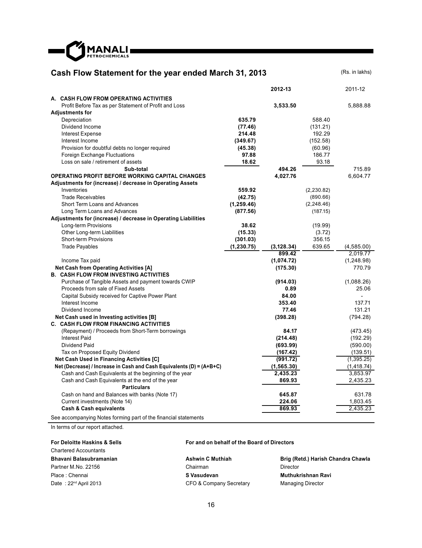

## **Cash Flow Statement for the year ended March 31, 2013** (Rs. in lakhs)

|                                                                      |             | 2012-13     |             | 2011-12     |
|----------------------------------------------------------------------|-------------|-------------|-------------|-------------|
| A. CASH FLOW FROM OPERATING ACTIVITIES                               |             |             |             |             |
| Profit Before Tax as per Statement of Profit and Loss                |             | 3,533.50    |             | 5,888.88    |
| <b>Adjustments for</b>                                               |             |             |             |             |
| Depreciation                                                         | 635.79      |             | 588.40      |             |
| Dividend Income                                                      | (77.46)     |             | (131.21)    |             |
| <b>Interest Expense</b>                                              | 214.48      |             | 192.29      |             |
| Interest Income                                                      | (349.67)    |             | (152.58)    |             |
| Provision for doubtful debts no longer required                      | (45.38)     |             | (60.96)     |             |
| Foreign Exchange Fluctuations                                        | 97.88       |             | 186.77      |             |
| Loss on sale / retirement of assets                                  | 18.62       |             | 93.18       |             |
| Sub-total                                                            |             | 494.26      |             | 715.89      |
| <b>OPERATING PROFIT BEFORE WORKING CAPITAL CHANGES</b>               |             | 4,027.76    |             | 6,604.77    |
| Adjustments for (increase) / decrease in Operating Assets            |             |             |             |             |
| Inventories                                                          | 559.92      |             | (2, 230.82) |             |
| <b>Trade Receivables</b>                                             | (42.75)     |             | (890.66)    |             |
| Short Term Loans and Advances                                        | (1, 259.46) |             | (2, 248.46) |             |
| Long Term Loans and Advances                                         | (877.56)    |             | (187.15)    |             |
| Adjustments for (increase) / decrease in Operating Liabilities       |             |             |             |             |
| Long-term Provisions                                                 | 38.62       |             | (19.99)     |             |
| Other Long-term Liabilities                                          | (15.33)     |             | (3.72)      |             |
| <b>Short-term Provisions</b>                                         | (301.03)    |             | 356.15      |             |
| <b>Trade Payables</b>                                                | (1, 230.75) | (3, 128.34) | 639.65      | (4,585.00)  |
|                                                                      |             | 899.42      |             | 2,019.77    |
| Income Tax paid                                                      |             | (1,074.72)  |             | (1, 248.98) |
| <b>Net Cash from Operating Activities [A]</b>                        |             | (175.30)    |             | 770.79      |
| <b>B. CASH FLOW FROM INVESTING ACTIVITIES</b>                        |             |             |             |             |
| Purchase of Tangible Assets and payment towards CWIP                 |             | (914.03)    |             | (1,088.26)  |
| Proceeds from sale of Fixed Assets                                   |             | 0.89        |             | 25.06       |
| Capital Subsidy received for Captive Power Plant                     |             | 84.00       |             |             |
| Interest Income                                                      |             | 353.40      |             | 137.71      |
| Dividend Income                                                      |             | 77.46       |             | 131.21      |
| Net Cash used in Investing activities [B]                            |             | (398.28)    |             | (794.28)    |
| C. CASH FLOW FROM FINANCING ACTIVITIES                               |             |             |             |             |
| (Repayment) / Proceeds from Short-Term borrowings                    |             | 84.17       |             | (473.45)    |
| <b>Interest Paid</b>                                                 |             | (214.48)    |             | (192.29)    |
| Dividend Paid                                                        |             | (693.99)    |             | (590.00)    |
| Tax on Proposed Equity Dividend                                      |             | (167.42)    |             | (139.51)    |
| Net Cash Used in Financing Activities [C]                            |             | (991.72)    |             | (1,395.25)  |
| Net (Decrease) / Increase in Cash and Cash Equivalents (D) = (A+B+C) |             | (1, 565.30) |             | (1, 418.74) |
| Cash and Cash Equivalents at the beginning of the year               |             | 2,435.23    |             | 3,853.97    |
| Cash and Cash Equivalents at the end of the year                     |             | 869.93      |             | 2,435.23    |
| <b>Particulars</b>                                                   |             |             |             |             |
| Cash on hand and Balances with banks (Note 17)                       |             | 645.87      |             | 631.78      |
| Current investments (Note 14)                                        |             | 224.06      |             | 1,803.45    |
| <b>Cash &amp; Cash equivalents</b>                                   |             | 869.93      |             | 2,435.23    |
| See accompanying Notes forming part of the financial statements      |             |             |             |             |

In terms of our report attached.

**For Deloitte Haskins & Sells** Chartered Accountants **Bhavani Balasubramanian** Partner M.No. 22156 Place : Chennai Date: 22<sup>nd</sup> April 2013

#### **For and on behalf of the Board of Directors**

**Ashwin C Muthiah** Chairman **S Vasudevan** CFO & Company Secretary **Brig (Retd.) Harish Chandra Chawla** Director **Muthukrishnan Ravi** Managing Director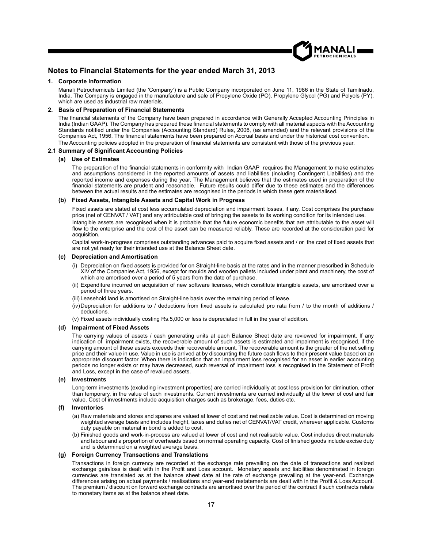

#### **Notes to Financial Statements for the year ended March 31, 2013**

#### **1. Corporate Information**

 Manali Petrochemicals Limited (the 'Company') is a Public Company incorporated on June 11, 1986 in the State of Tamilnadu, India. The Company is engaged in the manufacture and sale of Propylene Oxide (PO), Propylene Glycol (PG) and Polyols (PY), which are used as industrial raw materials.

#### **2. Basis of Preparation of Financial Statements**

The financial statements of the Company have been prepared in accordance with Generally Accepted Accounting Principles in India (Indian GAAP). The Company has prepared these financial statements to comply with all material aspects with the Accounting Standards notified under the Companies (Accounting Standard) Rules, 2006, (as amended) and the relevant provisions of the Companies Act, 1956. The financial statements have been prepared on Accrual basis and under the historical cost convention.

The Accounting policies adopted in the preparation of financial statements are consistent with those of the previous vear.

#### **2.1 Summary of Signifi cant Accounting Policies**

#### **(a) Use of Estimates**

The preparation of the financial statements in conformity with Indian GAAP requires the Management to make estimates and assumptions considered in the reported amounts of assets and liabilities (including Contingent Liabilities) and the reported income and expenses during the year. The Management believes that the estimates used in preparation of the financial statements are prudent and reasonable. Future results could differ due to these estimates and the differences between the actual results and the estimates are recognised in the periods in which these gets materialised.

#### **(b) Fixed Assets, Intangible Assets and Capital Work in Progress**

 Fixed assets are stated at cost less accumulated depreciation and impairment losses, if any. Cost comprises the purchase price (net of CENVAT / VAT) and any attributable cost of bringing the assets to its working condition for its intended use.

Intangible assets are recognised when it is probable that the future economic benefits that are attributable to the asset will flow to the enterprise and the cost of the asset can be measured reliably. These are recorded at the consideration paid for acquisition.

Capital work-in-progress comprises outstanding advances paid to acquire fixed assets and / or the cost of fixed assets that are not yet ready for their intended use at the Balance Sheet date.

#### **(c) Depreciation and Amortisation**

- (i) Depreciation on fixed assets is provided for on Straight-line basis at the rates and in the manner prescribed in Schedule XIV of the Companies Act, 1956, except for moulds and wooden pallets included under plant and machinery, the cost of which are amortised over a period of 5 years from the date of purchase.
- (ii) Expenditure incurred on acquisition of new software licenses, which constitute intangible assets, are amortised over a period of three years.
- (iii) Leasehold land is amortised on Straight-line basis over the remaining period of lease.
- (iv) Depreciation for additions to  $/$  deductions from fixed assets is calculated pro rata from  $/$  to the month of additions  $/$ deductions.
- (v) Fixed assets individually costing Rs.5,000 or less is depreciated in full in the year of addition.

#### **(d) Impairment of Fixed Assets**

 The carrying values of assets / cash generating units at each Balance Sheet date are reviewed for impairment. If any indication of impairment exists, the recoverable amount of such assets is estimated and impairment is recognised, if the carrying amount of these assets exceeds their recoverable amount. The recoverable amount is the greater of the net selling price and their value in use. Value in use is arrived at by discounting the future cash flows to their present value based on an appropriate discount factor. When there is indication that an impairment loss recognised for an asset in earlier accounting periods no longer exists or may have decreased, such reversal of impairment loss is recognised in the Statement of Profit and Loss, except in the case of revalued assets.

#### **(e) Investments**

 Long-term investments (excluding investment properties) are carried individually at cost less provision for diminution, other than temporary, in the value of such investments. Current investments are carried individually at the lower of cost and fair value. Cost of investments include acquisition charges such as brokerage, fees, duties etc.

#### **(f) Inventories**

- (a) Raw materials and stores and spares are valued at lower of cost and net realizable value. Cost is determined on moving weighted average basis and includes freight, taxes and duties net of CENVAT/VAT credit, wherever applicable. Customs duty payable on material in bond is added to cost.
- (b) Finished goods and work-in-process are valued at lower of cost and net realisable value. Cost includes direct materials and labour and a proportion of overheads based on normal operating capacity. Cost of finished goods include excise duty and is determined on a weighted average basis.

#### **(g) Foreign Currency Transactions and Translations**

 Transactions in foreign currency are recorded at the exchange rate prevailing on the date of transactions and realized exchange gain/loss is dealt with in the Profit and Loss account. Monetary assets and liabilities denominated in foreign currencies are translated as at the balance sheet date at the rate of exchange prevailing at the year-end. Exchange differences arising on actual payments / realisations and year-end restatements are dealt with in the Profit & Loss Account. The premium / discount on forward exchange contracts are amortised over the period of the contract if such contracts relate to monetary items as at the balance sheet date.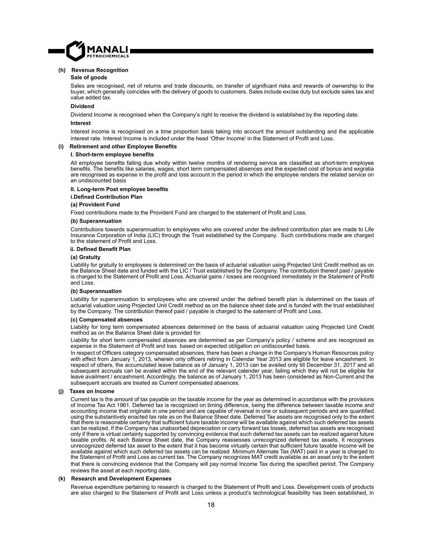

#### **(h) Revenue Recognition**

#### **Sale of goods**

Sales are recognised, net of returns and trade discounts, on transfer of significant risks and rewards of ownership to the buyer, which generally coincides with the delivery of goods to customers. Sales include excise duty but exclude sales tax and value added tax.

#### **Dividend**

Dividend Income is recognised when the Company's right to receive the dividend is established by the reporting date.

#### **Interest**

 Interest income is recognised on a time proportion basis taking into account the amount outstanding and the applicable interest rate. Interest Income is included under the head 'Other Income' in the Statement of Profit and Loss.

#### **(i) Retirement and other Employee Benefi ts**

#### **I. Short-term employee benefi ts**

All employee benefits falling due wholly within twelve months of rendering service are classified as short-term employee benefits. The benefits like salaries, wages, short term compensated absences and the expected cost of bonus and exgratia are recognised as expense in the profit and loss account in the period in which the employee renders the related service on an undiscounted basis

#### **II. Long-term Post employee benefi ts**

 **i.Defi ned Contribution Plan**

#### **(a) Provident Fund**

Fixed contributions made to the Provident Fund are charged to the statement of Profit and Loss.

#### **(b) Superannuation**

Contributions towards superannuation to employees who are covered under the defined contribution plan are made to Life Insurance Corporation of India (LIC) through the Trust established by the Company. Such contributions made are charged to the statement of Profit and Loss.

#### **ii. Defi ned Benefi t Plan**

#### **(a) Gratuity**

 Liability for gratuity to employees is determined on the basis of actuarial valuation using Projected Unit Credit method as on the Balance Sheet date and funded with the LIC / Trust established by the Company. The contribution thereof paid / payable is charged to the Statement of Profit and Loss. Actuarial gains / losses are recognised immediately in the Statement of Profit and Loss.

#### **(b) Superannuation**

Liability for superannuation to employees who are covered under the defined benefit plan is determined on the basis of actuarial valuation using Projected Unit Credit method as on the balance sheet date and is funded with the trust established by the Company. The contribution thereof paid / payable is charged to the satement of Profit and Loss.

#### **(c) Compensated absences**

 Liability for long term compensated absences determined on the basis of actuarial valuation using Projected Unit Credit method as on the Balance Sheet date is provided for.

 Liability for short term compensated absences are determined as per Company's policy / scheme and are recognized as expense in the Statement of Profit and loss based on expected obligation on undiscounted basis.

In respect of Officers category compensated absences, there has been a change in the Company's Human Resources policy with effect from January 1, 2013, wherein only officers retiring in Calendar Year 2013 are eligible for leave encashment. In respect of others, the accumulated leave balance as of January 1, 2013 can be availed only till December 31, 2017 and all subsequent accruals can be availed within the end of the relevant calender year, failing which they will not be eligible for leave availment / encashment. Accordingly, the balance as of January 1, 2013 has been considered as Non-Current and the subsequent accruals are treated as Current compensated absences.

#### **(j) Taxes on Income**

 Current tax is the amount of tax payable on the taxable income for the year as determined in accordance with the provisions of Income Tax Act 1961. Deferred tax is recognized on timing difference, being the difference between taxable income and accounting income that originate in one period and are capable of reversal in one or subsequent periods and are quantified using the substantively enacted tax rate as on the Balance Sheet date. Deferred Tax assets are recognised only to the extent that there is reasonable certainty that sufficient future taxable income will be available against which such deferred tax assets can be realized. If the Company has unabsorbed depreciation or carry forward tax losses, deferred tax assets are recognised only if there is virtual certainty supported by convincing evidence that such deferred tax assets can be realized against future taxable profits. At each Balance Sheet date, the Company reassesses unrecognized deferred tax assets. It recognises unrecognized deferred tax asset to the extent that it has become virtually certain that sufficient future taxable income will be available against which such deferred tax assets can be realized Minimum Alternate Tax (MAT) paid in a year is charged to the Statement of Profit and Loss as current tax. The Company recognizes MAT credit available as an asset only to the extent that there is convincing evidence that the Company will pay normal Income Tax during the specified period. The Company reviews the asset at each reporting date.

#### **(k) Research and Development Expenses**

Revenue expenditure pertaining to research is charged to the Statement of Profit and Loss. Development costs of products are also charged to the Statement of Profit and Loss unless a product's technological feasibility has been established, in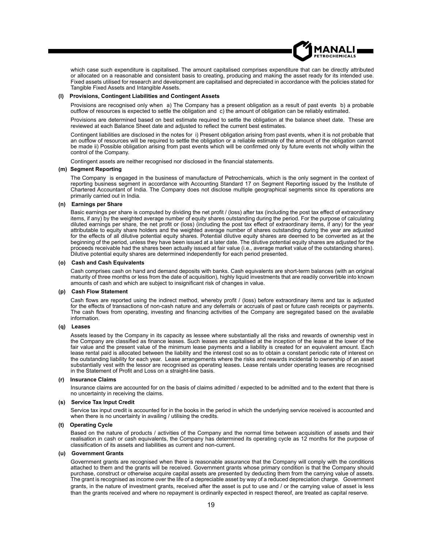which case such expenditure is capitalised. The amount capitalised comprises expenditure that can be directly attributed or allocated on a reasonable and consistent basis to creating, producing and making the asset ready for its intended use. Fixed assets utilised for research and development are capitalised and depreciated in accordance with the policies stated for Tangible Fixed Assets and Intangible Assets.

#### **(l) Provisions, Contingent Liabilities and Contingent Assets**

 Provisions are recognised only when a) The Company has a present obligation as a result of past events b) a probable outflow of resources is expected to settle the obligation and c) the amount of obligation can be reliably estimated.

 Provisions are determined based on best estimate required to settle the obligation at the balance sheet date. These are reviewed at each Balance Sheet date and adjusted to reflect the current best estimates.

 Contingent liabilities are disclosed in the notes for i) Present obligation arising from past events, when it is not probable that an outflow of resources will be required to settle the obligation or a reliable estimate of the amount of the obligation cannot be made ii) Possible obligation arising from past events which will be confirmed only by future events not wholly within the control of the Company.

Contingent assets are neither recognised nor disclosed in the financial statements.

#### **(m) Segment Reporting**

 The Company is engaged in the business of manufacture of Petrochemicals, which is the only segment in the context of reporting business segment in accordance with Accounting Standard 17 on Segment Reporting issued by the Institute of Chartered Accountant of India. The Company does not disclose multiple geographical segments since its operations are primarily carried out in India.

#### **(n) Earnings per Share**

Basic earnings per share is computed by dividing the net profit / (loss) after tax (including the post tax effect of extraordinary items, if any) by the weighted average number of equity shares outstanding during the period. For the purpose of calculating diluted earnings per share, the net profit or (loss) (including the post tax effect of extraordinary items, if any) for the year attributable to equity share holders and the weighted average number of shares outstanding during the year are adjusted for the effects of all dilutive potential equity shares. Potential dilutive equity shares are deemed to be converted as at the beginning of the period, unless they have been issued at a later date. The dilutive potential equity shares are adjusted for the proceeds receivable had the shares been actually issued at fair value (i.e., average market value of the outstanding shares). Dilutive potential equity shares are determined independently for each period presented.

#### **(o) Cash and Cash Equivalents**

 Cash comprises cash on hand and demand deposits with banks. Cash equivalents are short-term balances (with an original maturity of three months or less from the date of acquisition), highly liquid investments that are readily convertible into known amounts of cash and which are subject to insignificant risk of changes in value.

#### **(p) Cash Flow Statement**

Cash flows are reported using the indirect method, whereby profit / (loss) before extraordinary items and tax is adjusted for the effects of transactions of non-cash nature and any deferrals or accruals of past or future cash receipts or payments. The cash flows from operating, investing and financing activities of the Company are segregated based on the available information.

#### **(q) Leases**

 Assets leased by the Company in its capacity as lessee where substantially all the risks and rewards of ownership vest in the Company are classified as finance leases. Such leases are capitalised at the inception of the lease at the lower of the fair value and the present value of the minimum lease payments and a liability is created for an equivalent amount. Each lease rental paid is allocated between the liability and the interest cost so as to obtain a constant periodic rate of interest on the outstanding liability for each year. Lease arrangements where the risks and rewards incidental to ownership of an asset substantially vest with the lessor are recognised as operating leases. Lease rentals under operating leases are recognised in the Statement of Profit and Loss on a straight-line basis.

#### **(r) Insurance Claims**

 Insurance claims are accounted for on the basis of claims admitted / expected to be admitted and to the extent that there is no uncertainty in receiving the claims.

#### **(s) Service Tax Input Credit**

 Service tax input credit is accounted for in the books in the period in which the underlying service received is accounted and when there is no uncertainty in availing / utilising the credits.

#### **(t) Operating Cycle**

 Based on the nature of products / activities of the Company and the normal time between acquisition of assets and their realisation in cash or cash equivalents, the Company has determined its operating cycle as 12 months for the purpose of classification of its assets and liabilities as current and non-current.

#### **(u) Government Grants**

 Government grants are recognised when there is reasonable assurance that the Company will comply with the conditions attached to them and the grants will be received. Government grants whose primary condition is that the Company should purchase, construct or otherwise acquire capital assets are presented by deducting them from the carrying value of assets. The grant is recognised as income over the life of a depreciable asset by way of a reduced depreciation charge. Government grants, in the nature of investment grants, received after the asset is put to use and / or the carrying value of asset is less than the grants received and where no repayment is ordinarily expected in respect thereof, are treated as capital reserve.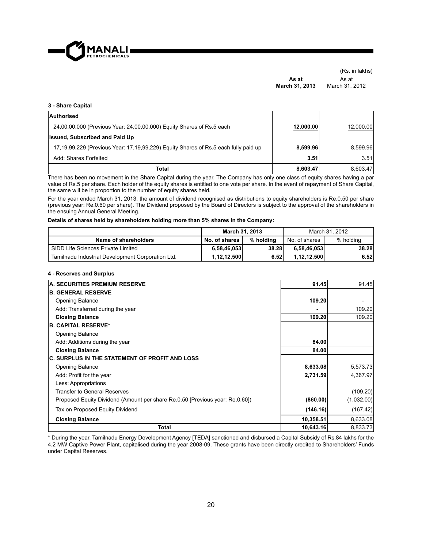

(Rs. in lakhs) **As at March 31, 2013** As at March 31, 2012

#### **3 - Share Capital**

| Authorised                                                                          |           |           |
|-------------------------------------------------------------------------------------|-----------|-----------|
| 24,00,00,000 (Previous Year: 24,00,00,000) Equity Shares of Rs.5 each               | 12,000.00 | 12,000.00 |
| <b>Issued, Subscribed and Paid Up</b>                                               |           |           |
| 17,19,99,229 (Previous Year: 17,19,99,229) Equity Shares of Rs.5 each fully paid up | 8.599.96  | 8.599.96  |
| Add: Shares Forfeited                                                               | 3.51      | 3.51      |
| Total                                                                               | 8.603.47  | 8,603.47  |

There has been no movement in the Share Capital during the year. The Company has only one class of equity shares having a par value of Rs.5 per share. Each holder of the equity shares is entitled to one vote per share. In the event of repayment of Share Capital, the same will be in proportion to the number of equity shares held.

For the year ended March 31, 2013, the amount of dividend recognised as distributions to equity shareholders is Re.0.50 per share (previous year: Re.0.60 per share). The Dividend proposed by the Board of Directors is subject to the approval of the shareholders in the ensuing Annual General Meeting.

#### **Details of shares held by shareholders holding more than 5% shares in the Company:**

|                                                   | March 31, 2013 |           | March 31, 2012 |           |  |
|---------------------------------------------------|----------------|-----------|----------------|-----------|--|
| Name of shareholders                              | No. of shares  | % holdina | No. of shares  | % holding |  |
| SIDD Life Sciences Private Limited                | 6,58,46,053    | 38.28     | 6.58.46.053    | 38.28     |  |
| Tamilnadu Industrial Development Corporation Ltd. | 1,12,12,500    | 6.52      | 1.12.12.500    | 6.52      |  |

#### **4 - Reserves and Surplus**

| <b>A. SECURITIES PREMIUM RESERVE</b>                                         | 91.45     | 91.45      |
|------------------------------------------------------------------------------|-----------|------------|
| <b>B. GENERAL RESERVE</b>                                                    |           |            |
| <b>Opening Balance</b>                                                       | 109.20    |            |
| Add: Transferred during the year                                             |           | 109.20     |
| <b>Closing Balance</b>                                                       | 109.20    | 109.20     |
| <b>B. CAPITAL RESERVE*</b>                                                   |           |            |
| <b>Opening Balance</b>                                                       |           |            |
| Add: Additions during the year                                               | 84.00     |            |
| <b>Closing Balance</b>                                                       | 84.00     |            |
| <b>C. SURPLUS IN THE STATEMENT OF PROFIT AND LOSS</b>                        |           |            |
| <b>Opening Balance</b>                                                       | 8,633.08  | 5,573.73   |
| Add: Profit for the year                                                     | 2,731.59  | 4,367.97   |
| Less: Appropriations                                                         |           |            |
| Transfer to General Reserves                                                 |           | (109.20)   |
| Proposed Equity Dividend (Amount per share Re.0.50 [Previous year: Re.0.60]) | (860.00)  | (1,032.00) |
| Tax on Proposed Equity Dividend                                              | (146.16)  | (167.42)   |
| <b>Closing Balance</b>                                                       | 10,358.51 | 8,633.08   |
| Total                                                                        | 10,643.16 | 8,833.73   |

\* During the year, Tamilnadu Energy Development Agency [TEDA] sanctioned and disbursed a Capital Subsidy of Rs.84 lakhs for the 4.2 MW Captive Power Plant, capitalised during the year 2008-09. These grants have been directly credited to Shareholders' Funds under Capital Reserves.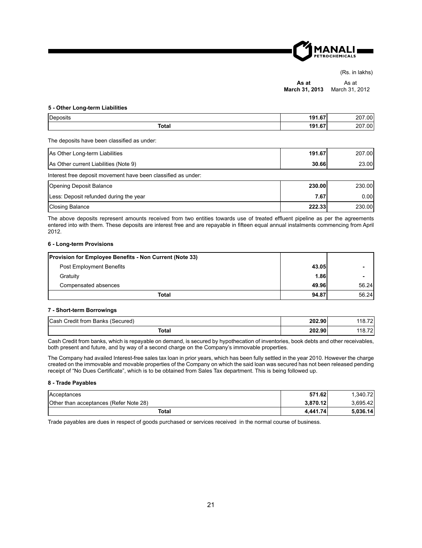

(Rs. in lakhs)

**As at March 31, 2013** As at March 31, 2012

#### **5 - Other Long-term Liabilities**

| <b>Denosits</b> | 101C7<br>. v<br> | .00'<br>' ∪ ک |
|-----------------|------------------|---------------|
| Total           | 101C7<br>. .<br> | .00'<br>∼     |

The deposits have been classified as under:

| As Other Long-term Liabilities                                | 191.67 | 207.00 |  |  |  |  |
|---------------------------------------------------------------|--------|--------|--|--|--|--|
| As Other current Liabilities (Note 9)                         | 30.66  | 23.00l |  |  |  |  |
| Interest free deposit movement have been classified as under: |        |        |  |  |  |  |
| Opening Deposit Balance                                       | 230.00 | 230.00 |  |  |  |  |

| <b>ICPCITIING DUPOSIL DUIGHIUG</b>     | <b>499.991</b> | 100.001 |
|----------------------------------------|----------------|---------|
| Less: Deposit refunded during the year | 7.67           | 0.00l   |
| Closing Balance                        | 222.33         | 230.00l |

The above deposits represent amounts received from two entities towards use of treated effluent pipeline as per the agreements entered into with them. These deposits are interest free and are repayable in fifteen equal annual instalments commencing from April 2012.

#### **6 - Long-term Provisions**

| <b>Provision for Employee Benefits - Non Current (Note 33)</b> |       |       |
|----------------------------------------------------------------|-------|-------|
| <b>Post Employment Benefits</b>                                | 43.05 |       |
| Gratuity                                                       | 1.86  |       |
| Compensated absences                                           | 49.96 | 56.24 |
| <b>Total</b>                                                   | 94.87 | 56.24 |

#### **7 - Short-term Borrowings**

| Cash Credit from Banks (Secured) | 202.90 | 118.72  |
|----------------------------------|--------|---------|
| Total                            | 202.90 | 118.72. |

Cash Credit from banks, which is repayable on demand, is secured by hypothecation of inventories, book debts and other receivables, both present and future, and by way of a second charge on the Company's immovable properties.

The Company had availed Interest-free sales tax loan in prior years, which has been fully settled in the year 2010. However the charge created on the immovable and movable properties of the Company on which the said loan was secured has not been released pending receipt of "No Dues Certificate", which is to be obtained from Sales Tax department. This is being followed up.

#### **8 - Trade Payables**

| Acceptances                            | 571.62   | .340.72  |
|----------------------------------------|----------|----------|
| Other than acceptances (Refer Note 28) | 3.870.12 | 3.695.42 |
| Total                                  | 4.441.74 | 5.036.14 |

Trade payables are dues in respect of goods purchased or services received in the normal course of business.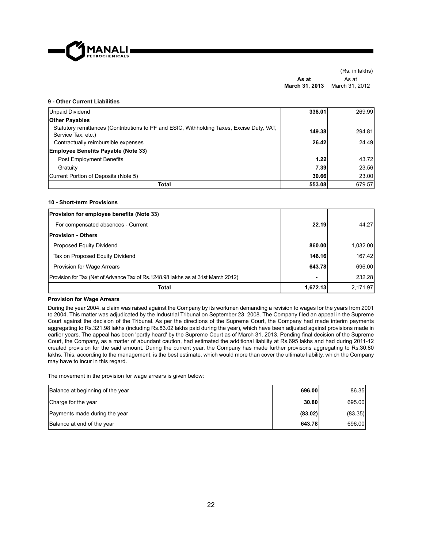

(Rs. in lakhs) **As at March 31, 2013** March 31, 2012 As at

#### **9 - Other Current Liabilities**

| Unpaid Dividend                                                                                                 | 338.01 | 269.99 |
|-----------------------------------------------------------------------------------------------------------------|--------|--------|
| <b>Other Payables</b>                                                                                           |        |        |
| Statutory remittances (Contributions to PF and ESIC, Withholding Taxes, Excise Duty, VAT,<br>Service Tax, etc.) | 149.38 | 294.81 |
| Contractually reimbursible expenses                                                                             | 26.42  | 24.49  |
| <b>Employee Benefits Payable (Note 33)</b>                                                                      |        |        |
| Post Employment Benefits                                                                                        | 1.22   | 43.72  |
| Gratuity                                                                                                        | 7.39   | 23.56  |
| Current Portion of Deposits (Note 5)                                                                            | 30.66  | 23.00  |
| Total                                                                                                           | 553.08 | 679.57 |

#### **10 - Short-term Provisions**

| <b>Provision for employee benefits (Note 33)</b>                                 |                |          |
|----------------------------------------------------------------------------------|----------------|----------|
| For compensated absences - Current                                               | 22.19          | 44.27    |
| <b>Provision - Others</b>                                                        |                |          |
| Proposed Equity Dividend                                                         | 860.00         | 1,032.00 |
| Tax on Proposed Equity Dividend                                                  | 146.16         | 167.42   |
| Provision for Wage Arrears                                                       | 643.78         | 696.00   |
| Provision for Tax (Net of Advance Tax of Rs.1248.98 lakhs as at 31st March 2012) | $\blacksquare$ | 232.28   |
| Total                                                                            | 1,672.13       | 2,171.97 |

#### **Provision for Wage Arrears**

During the year 2004, a claim was raised against the Company by its workmen demanding a revision to wages for the years from 2001 to 2004. This matter was adjudicated by the Industrial Tribunal on September 23, 2008. The Company filed an appeal in the Supreme Court against the decision of the Tribunal. As per the directions of the Supreme Court, the Company had made interim payments aggregating to Rs.321.98 lakhs (including Rs.83.02 lakhs paid during the year), which have been adjusted against provisions made in earlier years. The appeal has been 'partly heard' by the Supreme Court as of March 31, 2013. Pending final decision of the Supreme Court, the Company, as a matter of abundant caution, had estimated the additional liability at Rs.695 lakhs and had during 2011-12 created provision for the said amount. During the current year, the Company has made further provisons aggregating to Rs.30.80 lakhs. This, according to the management, is the best estimate, which would more than cover the ultimate liability, which the Company may have to incur in this regard.

The movement in the provision for wage arrears is given below:

| Balance at beginning of the year | 696.00  | 86.35   |
|----------------------------------|---------|---------|
| Charge for the year              | 30.80   | 695.00  |
| Payments made during the year    | (83.02) | (83.35) |
| Balance at end of the year       | 643.78  | 696.00  |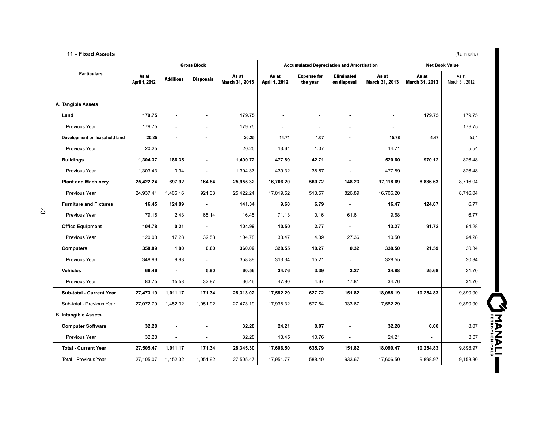#### **11 - Fixed Assets** (Rs. in lakhs) (Rs. in lakhs)

|                               |                        |                          | <b>Gross Block</b> |                         | <b>Accumulated Depreciation and Amortisation</b> |                                |                                  | <b>Net Book Value</b>    |                         |                         |
|-------------------------------|------------------------|--------------------------|--------------------|-------------------------|--------------------------------------------------|--------------------------------|----------------------------------|--------------------------|-------------------------|-------------------------|
| <b>Particulars</b>            | As at<br>April 1, 2012 | <b>Additions</b>         | <b>Disposals</b>   | As at<br>March 31, 2013 | As at<br>April 1, 2012                           | <b>Expense for</b><br>the year | <b>Eliminated</b><br>on disposal | As at<br>March 31, 2013  | As at<br>March 31, 2013 | As at<br>March 31, 2012 |
|                               |                        |                          |                    |                         |                                                  |                                |                                  |                          |                         |                         |
| A. Tangible Assets            |                        |                          |                    |                         |                                                  |                                |                                  |                          |                         |                         |
| Land                          | 179.75                 |                          | ٠                  | 179.75                  | ٠                                                |                                | ۰                                | ۰                        | 179.75                  | 179.75                  |
| Previous Year                 | 179.75                 | $\overline{\phantom{a}}$ |                    | 179.75                  | $\sim$                                           | ÷                              | $\overline{a}$                   | $\overline{\phantom{a}}$ |                         | 179.75                  |
| Development on leasehold land | 20.25                  |                          |                    | 20.25                   | 14.71                                            | 1.07                           | $\overline{a}$                   | 15.78                    | 4.47                    | 5.54                    |
| Previous Year                 | 20.25                  |                          |                    | 20.25                   | 13.64                                            | 1.07                           | $\overline{\phantom{a}}$         | 14.71                    |                         | 5.54                    |
| <b>Buildings</b>              | 1,304.37               | 186.35                   | ٠                  | 1,490.72                | 477.89                                           | 42.71                          |                                  | 520.60                   | 970.12                  | 826.48                  |
| Previous Year                 | 1,303.43               | 0.94                     |                    | 1,304.37                | 439.32                                           | 38.57                          |                                  | 477.89                   |                         | 826.48                  |
| <b>Plant and Machinery</b>    | 25,422.24              | 697.92                   | 164.84             | 25,955.32               | 16,706.20                                        | 560.72                         | 148.23                           | 17,118.69                | 8,836.63                | 8,716.04                |
| Previous Year                 | 24,937.41              | 1.406.16                 | 921.33             | 25,422.24               | 17.019.52                                        | 513.57                         | 826.89                           | 16,706.20                |                         | 8,716.04                |
| <b>Furniture and Fixtures</b> | 16.45                  | 124.89                   |                    | 141.34                  | 9.68                                             | 6.79                           |                                  | 16.47                    | 124.87                  | 6.77                    |
| Previous Year                 | 79.16                  | 2.43                     | 65.14              | 16.45                   | 71.13                                            | 0.16                           | 61.61                            | 9.68                     |                         | 6.77                    |
| <b>Office Equipment</b>       | 104.78                 | 0.21                     |                    | 104.99                  | 10.50                                            | 2.77                           |                                  | 13.27                    | 91.72                   | 94.28                   |
| Previous Year                 | 120.08                 | 17.28                    | 32.58              | 104.78                  | 33.47                                            | 4.39                           | 27.36                            | 10.50                    |                         | 94.28                   |
| <b>Computers</b>              | 358.89                 | 1.80                     | 0.60               | 360.09                  | 328.55                                           | 10.27                          | 0.32                             | 338.50                   | 21.59                   | 30.34                   |
| Previous Year                 | 348.96                 | 9.93                     |                    | 358.89                  | 313.34                                           | 15.21                          |                                  | 328.55                   |                         | 30.34                   |
| <b>Vehicles</b>               | 66.46                  |                          | 5.90               | 60.56                   | 34.76                                            | 3.39                           | 3.27                             | 34.88                    | 25.68                   | 31.70                   |
| Previous Year                 | 83.75                  | 15.58                    | 32.87              | 66.46                   | 47.90                                            | 4.67                           | 17.81                            | 34.76                    |                         | 31.70                   |
| Sub-total - Current Year      | 27,473.19              | 1,011.17                 | 171.34             | 28,313.02               | 17,582.29                                        | 627.72                         | 151.82                           | 18,058.19                | 10,254.83               | 9,890.90                |
| Sub-total - Previous Year     | 27,072.79              | 1,452.32                 | 1,051.92           | 27,473.19               | 17,938.32                                        | 577.64                         | 933.67                           | 17,582.29                |                         | 9,890.90                |
| <b>B. Intangible Assets</b>   |                        |                          |                    |                         |                                                  |                                |                                  |                          |                         |                         |
| <b>Computer Software</b>      | 32.28                  |                          |                    | 32.28                   | 24.21                                            | 8.07                           |                                  | 32.28                    | 0.00                    | 8.07                    |
| Previous Year                 | 32.28                  |                          |                    | 32.28                   | 13.45                                            | 10.76                          |                                  | 24.21                    |                         | 8.07                    |
| <b>Total - Current Year</b>   | 27,505.47              | 1,011.17                 | 171.34             | 28,345.30               | 17,606.50                                        | 635.79                         | 151.82                           | 18,090.47                | 10,254.83               | 9,898.97                |
| Total - Previous Year         | 27,105.07              | 1,452.32                 | 1,051.92           | 27,505.47               | 17,951.77                                        | 588.40                         | 933.67                           | 17,606.50                | 9,898.97                | 9,153.30                |

UNANALI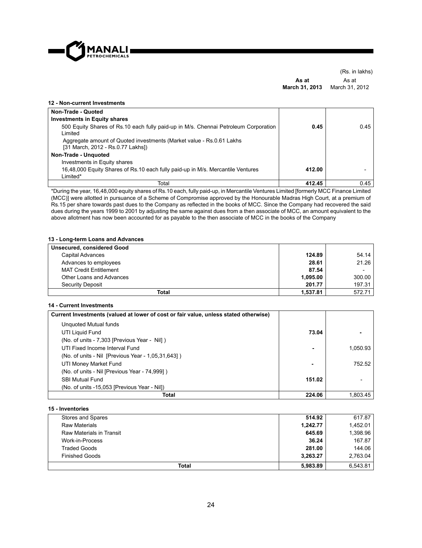

(Rs. in lakhs) **As at March 31, 2013** As at March 31, 2012

#### **12 - Non-current Investments Non-Trade - Quoted Investments in Equity shares**  500 Equity Shares of Rs.10 each fully paid-up in M/s. Chennai Petroleum Corporation Limited  **0.45** 0.45 Aggregate amount of Quoted investments (Market value - Rs.0.61 Lakhs [31 March, 2012 - Rs.0.77 Lakhs]) **Non-Trade - Unquoted**  Investments in Equity shares 16,48,000 Equity Shares of Rs.10 each fully paid-up in M/s. Mercantile Ventures Limited\*  **412.00** - Total **412.45** 0.45

\*During the year, 16,48,000 equity shares of Rs.10 each, fully paid-up, in Mercantile Ventures Limited [formerly MCC Finance Limited (MCC)] were allotted in pursuance of a Scheme of Compromise approved by the Honourable Madras High Court, at a premium of Rs.15 per share towards past dues to the Company as reflected in the books of MCC. Since the Company had recovered the said dues during the years 1999 to 2001 by adjusting the same against dues from a then associate of MCC, an amount equivalent to the above allotment has now been accounted for as payable to the then associate of MCC in the books of the Company

#### **13 - Long-term Loans and Advances**

| Unsecured, considered Good    |          |        |
|-------------------------------|----------|--------|
| Capital Advances              | 124.89   | 54.14  |
| Advances to employees         | 28.61    | 21.26  |
| <b>MAT Credit Entitlement</b> | 87.54    | -      |
| Other Loans and Advances      | 1.095.00 | 300.00 |
| Security Deposit              | 201.77   | 197.31 |
| Total                         | 1.537.81 | 572.71 |

#### **14 - Current Investments**

| Current Investments (valued at lower of cost or fair value, unless stated otherwise) |        |          |
|--------------------------------------------------------------------------------------|--------|----------|
| Unquoted Mutual funds                                                                |        |          |
| UTI Liquid Fund                                                                      | 73.04  |          |
| (No. of units - 7,303 [Previous Year - Nil])                                         |        |          |
| UTI Fixed Income Interval Fund                                                       |        | 1,050.93 |
| (No. of units - Nil [Previous Year - 1,05,31,643])                                   |        |          |
| UTI Money Market Fund                                                                | ٠      | 752.52   |
| (No. of units - Nil [Previous Year - 74,999])                                        |        |          |
| <b>SBI Mutual Fund</b>                                                               | 151.02 |          |
| (No. of units -15,053 [Previous Year - Nil])                                         |        |          |
| Total                                                                                | 224.06 | 1.803.45 |

#### **15 - Inventories**

| Stores and Spares        | 514.92   | 617.87   |
|--------------------------|----------|----------|
| Raw Materials            | 1,242.77 | 1,452.01 |
| Raw Materials in Transit | 645.69   | 1,398.96 |
| Work-in-Process          | 36.24    | 167.87   |
| <b>Traded Goods</b>      | 281.00   | 144.06   |
| <b>Finished Goods</b>    | 3.263.27 | 2.763.04 |
| <b>Total</b>             | 5.983.89 | 6.543.81 |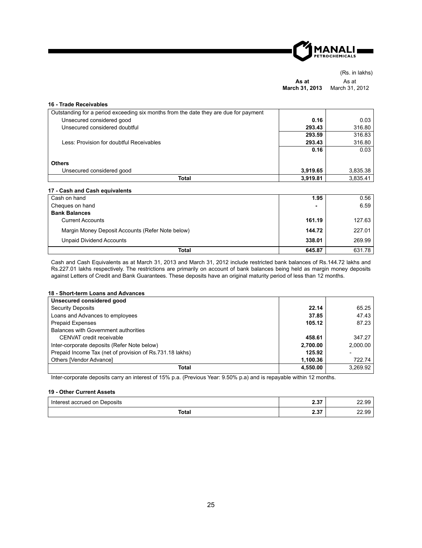

(Rs. in lakhs) **As at March 31, 2013** As at March 31, 2012

| 16 - Trade Receivables                                                               |          |          |
|--------------------------------------------------------------------------------------|----------|----------|
| Outstanding for a period exceeding six months from the date they are due for payment |          |          |
| Unsecured considered good                                                            | 0.16     | 0.03     |
| Unsecured considered doubtful                                                        | 293.43   | 316.80   |
|                                                                                      | 293.59   | 316.83   |
| Less: Provision for doubtful Receivables                                             | 293.43   | 316.80   |
|                                                                                      | 0.16     | 0.03     |
|                                                                                      |          |          |
| <b>Others</b>                                                                        |          |          |
| Unsecured considered good                                                            | 3,919.65 | 3,835.38 |
| Total                                                                                | 3,919.81 | 3,835.41 |

#### **17 - Cash and Cash equivalents**

| Cash on hand                                     | 1.95           | 0.56   |
|--------------------------------------------------|----------------|--------|
| Cheques on hand                                  | $\blacksquare$ | 6.59   |
| <b>Bank Balances</b>                             |                |        |
| <b>Current Accounts</b>                          | 161.19         | 127.63 |
| Margin Money Deposit Accounts (Refer Note below) | 144.72         | 227.01 |
| <b>Unpaid Dividend Accounts</b>                  | 338.01         | 269.99 |
| <b>Total</b>                                     | 645.87         | 631.78 |

Cash and Cash Equivalents as at March 31, 2013 and March 31, 2012 include restricted bank balances of Rs.144.72 lakhs and Rs.227.01 lakhs respectively. The restrictions are primarily on account of bank balances being held as margin money deposits against Letters of Credit and Bank Guarantees. These deposits have an original maturity period of less than 12 months.

#### **18 - Short-term Loans and Advances**

| Unsecured considered good                                |          |          |
|----------------------------------------------------------|----------|----------|
| <b>Security Deposits</b>                                 | 22.14    | 65.25    |
| Loans and Advances to employees                          | 37.85    | 47.43    |
| <b>Prepaid Expenses</b>                                  | 105.12   | 87.23    |
| Balances with Government authorities                     |          |          |
| CENVAT credit receivable                                 | 458.61   | 347.27   |
| Inter-corporate deposits (Refer Note below)              | 2,700.00 | 2.000.00 |
| Prepaid Income Tax (net of provision of Rs.731.18 lakhs) | 125.92   |          |
| Others [Vendor Advance]                                  | 1.100.36 | 722.74   |
| Total                                                    | 4,550.00 | 3.269.92 |

Inter-corporate deposits carry an interest of 15% p.a. (Previous Year: 9.50% p.a) and is repayable within 12 months.

#### **19 - Other Current Assets**

| . .<br>. Interest<br>Deposits<br>: accrued on | $\sim$ $\sim$<br>2.91 | nn<br>aa<br>22.99 |
|-----------------------------------------------|-----------------------|-------------------|
| <b>Total</b>                                  | יי ה<br>2.91          | nn<br>۵Q<br>22.99 |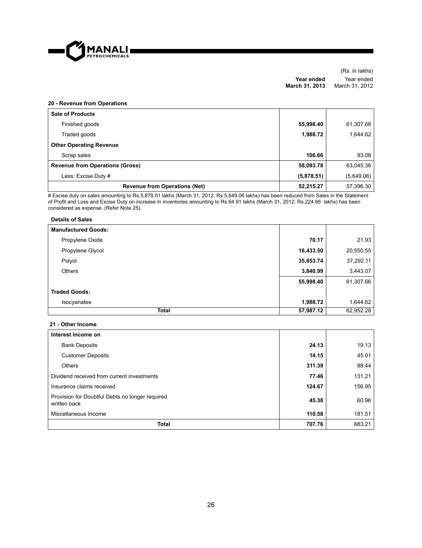

(Rs. in lakhs) **Year ended March 31, 2013** Year ended March 31, 2012

#### **20 - Revenue from Operations**

| <b>Sale of Products</b>                |            |            |
|----------------------------------------|------------|------------|
| Finished goods                         | 55,998.40  | 61,307.66  |
| Traded goods                           | 1,988.72   | 1,644.62   |
| <b>Other Operating Revenue</b>         |            |            |
| Scrap sales                            | 106.66     | 93.08      |
| <b>Revenue from Operations (Gross)</b> | 58,093.78  | 63,045.36  |
| Less: Excise Duty #                    | (5,878.51) | (5,649.06) |
| <b>Revenue from Operations (Net)</b>   | 52,215.27  | 57,396.30  |

# Excise duty on sales amounting to Rs.5,878.51 lakhs (March 31, 2012: Rs.5,649.06 lakhs) has been reduced from Sales in the Statement of Profit and Loss and Excise Duty on increase in inventories amounting to Rs.64.91 lakhs (March 31, 2012: Rs.224.66 lakhs) has been considered as expense. (Refer Note 25).

#### **Details of Sales**

| <b>Manufactured Goods:</b> |           |           |
|----------------------------|-----------|-----------|
| Propylene Oxide            | 70.17     | 21.93     |
| Propylene Glycol           | 16,433.50 | 20,550.55 |
| Polyol                     | 35,653.74 | 37,292.11 |
| <b>Others</b>              | 3,840.99  | 3,443.07  |
|                            | 55,998.40 | 61,307.66 |
| <b>Traded Goods:</b>       |           |           |
| Isocyanates                | 1,988.72  | 1,644.62  |
| <b>Total</b>               | 57,987.12 | 62,952.28 |

#### **21 - Other Income**

| Interest Income on                                              |        |        |
|-----------------------------------------------------------------|--------|--------|
| <b>Bank Deposits</b>                                            | 24.13  | 19.13  |
| <b>Customer Deposits</b>                                        | 14.15  | 45.01  |
| Others                                                          | 311.39 | 88.44  |
| Dividend received from current investments                      | 77.46  | 131.21 |
| Insurance claims received                                       | 124.67 | 156.95 |
| Provision for Doubtful Debts no longer required<br>written back | 45.38  | 60.96  |
| Miscellaneous Income                                            | 110.58 | 181.51 |
| <b>Total</b>                                                    | 707.76 | 683.21 |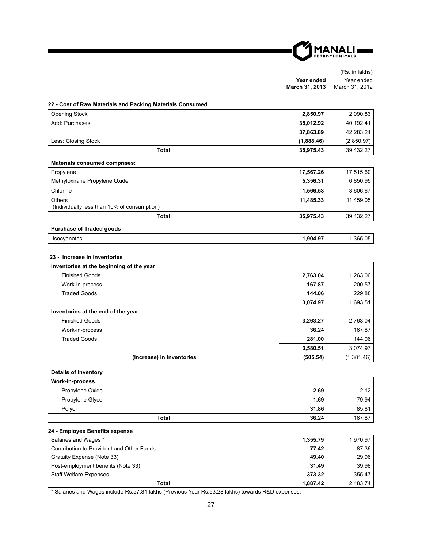

|                       | (Rs. in lakhs) |
|-----------------------|----------------|
| Year ended            | Year ended     |
| <b>March 31, 2013</b> | March 31, 2012 |

#### **22 - Cost of Raw Materials and Packing Materials Consumed**

| <b>Opening Stock</b>                                                     | 2,850.97   | 2,090.83   |
|--------------------------------------------------------------------------|------------|------------|
| Add: Purchases                                                           | 35,012.92  | 40,192.41  |
|                                                                          | 37,863.89  | 42,283.24  |
| Less: Closing Stock                                                      | (1,888.46) | (2,850.97) |
| <b>Total</b>                                                             | 35,975.43  | 39,432.27  |
| <b>Materials consumed comprises:</b>                                     |            |            |
| Propylene                                                                | 17,567.26  | 17,515.60  |
| Methyloxirane Propylene Oxide                                            | 5,356.31   | 6,850.95   |
| Chlorine                                                                 | 1,566.53   | 3,606.67   |
| Others<br>(Individually less than 10% of consumption)                    | 11,485.33  | 11,459.05  |
| <b>Total</b>                                                             | 35,975.43  | 39,432.27  |
| <b>Purchase of Traded goods</b>                                          |            |            |
| Isocyanates                                                              | 1,904.97   | 1,365.05   |
| 23 - Increase in Inventories<br>Inventories at the beginning of the year |            |            |
| <b>Finished Goods</b>                                                    | 2,763.04   | 1,263.06   |
| Work-in-process                                                          | 167.87     | 200.57     |
| <b>Traded Goods</b>                                                      | 144.06     | 229.88     |
|                                                                          | 3,074.97   | 1,693.51   |
| Inventories at the end of the year                                       |            |            |
| <b>Finished Goods</b>                                                    | 3,263.27   | 2.763.04   |
| Work-in-process                                                          | 36.24      | 167.87     |
| <b>Traded Goods</b>                                                      | 281.00     | 144.06     |
|                                                                          | 3,580.51   | 3,074.97   |
| (Increase) in Inventories                                                | (505.54)   | (1,381.46) |
| <b>Details of Inventory</b>                                              |            |            |
| Work-in-process                                                          |            |            |
| Propylene Oxide                                                          | 2.69       | 2.12       |

| Total            | 36.24 | 167.87 |
|------------------|-------|--------|
| Polyol           | 31.86 | 85.81  |
| Propylene Glycol | 1.69  | 79.94  |
|                  |       |        |

#### **24 - Employee Benefi ts expense**

| Salaries and Wages *                      | 1.355.79 | 1.970.97 |
|-------------------------------------------|----------|----------|
| Contribution to Provident and Other Funds | 77.42    | 87.36    |
| Gratuity Expense (Note 33)                | 49.40    | 29.96    |
| Post-employment benefits (Note 33)        | 31.49    | 39.98    |
| <b>Staff Welfare Expenses</b>             | 373.32   | 355.47   |
| Total                                     | 1.887.42 | 2.483.74 |

\* Salaries and Wages include Rs.57.81 lakhs (Previous Year Rs.53.28 lakhs) towards R&D expenses.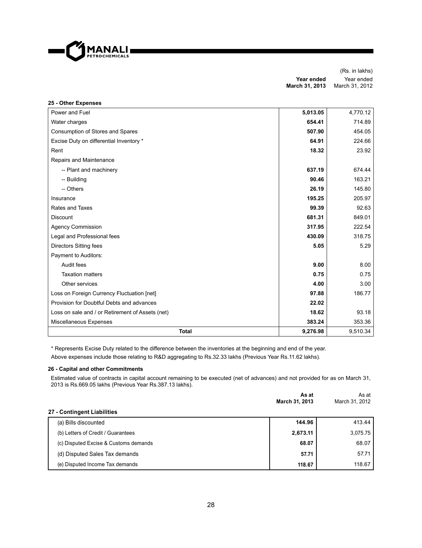

**25 - Other Expenses** 

(Rs. in lakhs) **Year ended March 31, 2013** Year ended March 31, 2012

| zə - Other Expenses<br>Power and Fuel            | 5,013.05 | 4,770.12 |
|--------------------------------------------------|----------|----------|
| Water charges                                    | 654.41   | 714.89   |
| Consumption of Stores and Spares                 | 507.90   | 454.05   |
| Excise Duty on differential Inventory *          | 64.91    | 224.66   |
| Rent                                             | 18.32    | 23.92    |
| Repairs and Maintenance                          |          |          |
| -- Plant and machinery                           | 637.19   | 674.44   |
| -- Building                                      | 90.46    | 163.21   |
| -- Others                                        | 26.19    | 145.80   |
| Insurance                                        | 195.25   | 205.97   |
| Rates and Taxes                                  | 99.39    | 92.63    |
| <b>Discount</b>                                  | 681.31   | 849.01   |
| <b>Agency Commission</b>                         | 317.95   | 222.54   |
| Legal and Professional fees                      | 430.09   | 318.75   |
| <b>Directors Sitting fees</b>                    | 5.05     | 5.29     |
| <b>Payment to Auditors:</b>                      |          |          |
| Audit fees                                       | 9.00     | 8.00     |
| <b>Taxation matters</b>                          | 0.75     | 0.75     |
| Other services                                   | 4.00     | 3.00     |
| Loss on Foreign Currency Fluctuation [net]       | 97.88    | 186.77   |
| Provision for Doubtful Debts and advances        | 22.02    |          |
| Loss on sale and / or Retirement of Assets (net) | 18.62    | 93.18    |
| Miscellaneous Expenses                           | 383.24   | 353.36   |
| <b>Total</b>                                     | 9,276.98 | 9,510.34 |

\* Represents Excise Duty related to the difference between the inventories at the beginning and end of the year. Above expenses include those relating to R&D aggregating to Rs.32.33 lakhs (Previous Year Rs.11.62 lakhs).

#### **26 - Capital and other Commitments**

Estimated value of contracts in capital account remaining to be executed (net of advances) and not provided for as on March 31, 2013 is Rs.669.05 lakhs (Previous Year Rs.387.13 lakhs).

|                                       | As at<br>March 31, 2013 | As at<br>March 31, 2012 |
|---------------------------------------|-------------------------|-------------------------|
| 27 - Contingent Liabilities           |                         |                         |
| (a) Bills discounted                  | 144.96                  | 413.44                  |
| (b) Letters of Credit / Guarantees    | 2,673.11                | 3.075.75                |
| (c) Disputed Excise & Customs demands | 68.07                   | 68.07                   |
| (d) Disputed Sales Tax demands        | 57.71                   | 57.71                   |
| (e) Disputed Income Tax demands       | 118.67                  | 118.67                  |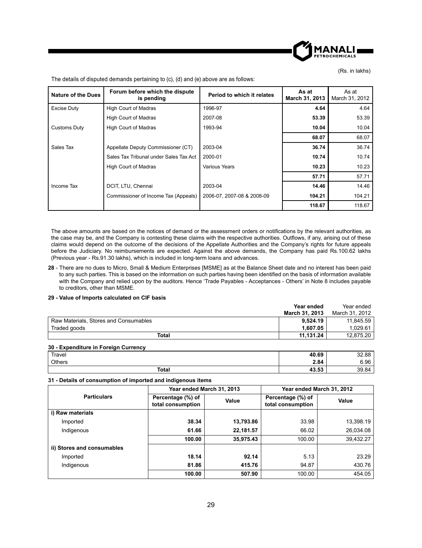

(Rs. in lakhs)

| Nature of the Dues  | Forum before which the dispute<br>is pending | Period to which it relates | As at<br>March 31, 2013 | As at<br>March 31, 2012 |
|---------------------|----------------------------------------------|----------------------------|-------------------------|-------------------------|
| <b>Excise Duty</b>  | <b>High Court of Madras</b>                  | 1996-97                    | 4.64                    | 4.64                    |
|                     | High Court of Madras                         | 2007-08                    | 53.39                   | 53.39                   |
| <b>Customs Duty</b> | <b>High Court of Madras</b>                  | 1993-94                    | 10.04                   | 10.04                   |
|                     |                                              |                            | 68.07                   | 68.07                   |
| Sales Tax           | Appellate Deputy Commissioner (CT)           | 2003-04                    | 36.74                   | 36.74                   |
|                     | Sales Tax Tribunal under Sales Tax Act       | 2000-01                    | 10.74                   | 10.74                   |
|                     | High Court of Madras                         | <b>Various Years</b>       | 10.23                   | 10.23                   |
|                     |                                              |                            | 57.71                   | 57.71                   |
| Income Tax          | DCIT, LTU, Chennai                           | 2003-04                    | 14.46                   | 14.46                   |
|                     | Commissioner of Income Tax (Appeals)         | 2006-07, 2007-08 & 2008-09 | 104.21                  | 104.21                  |
|                     |                                              |                            | 118.67                  | 118.67                  |

The details of disputed demands pertaining to (c), (d) and (e) above are as follows:

The above amounts are based on the notices of demand or the assessment orders or notifications by the relevant authorities, as the case may be, and the Company is contesting these claims with the respective authorities. Outflows, if any, arising out of these claims would depend on the outcome of the decisions of the Appellate Authorities and the Company's rights for future appeals before the Judiciary. No reimbursements are expected. Against the above demands, the Company has paid Rs.100.62 lakhs (Previous year - Rs.91.30 lakhs), which is included in long-term loans and advances.

**28** - There are no dues to Micro, Small & Medium Enterprises [MSME] as at the Balance Sheet date and no interest has been paid to any such parties. This is based on the information on such parties having been identified on the basis of information available with the Company and relied upon by the auditors. Hence 'Trade Payables - Acceptances - Others' in Note 8 includes payable to creditors, other than MSME.

#### **29 - Value of Imports calculated on CIF basis**

|                                       | Year ended            | Year ended     |
|---------------------------------------|-----------------------|----------------|
|                                       | <b>March 31, 2013</b> | March 31, 2012 |
| Raw Materials, Stores and Consumables | 9.524.19              | 11.845.59      |
| Traded goods                          | 1.607.05              | 1.029.61       |
| Total                                 | 11.131.24             | 12.875.20      |

#### **30 - Expenditure in Foreign Currency**

| Travel | 40.69 | 32.88 |
|--------|-------|-------|
| Others | 2.84  | 6.96  |
| Total  | 43.53 | 39.84 |

#### **31 - Details of consumption of imported and indigenous items**

|                            | Year ended March 31, 2013              |           |                                        | Year ended March 31, 2012 |
|----------------------------|----------------------------------------|-----------|----------------------------------------|---------------------------|
| <b>Particulars</b>         | Percentage (%) of<br>total consumption | Value     | Percentage (%) of<br>total consumption | Value                     |
| i) Raw materials           |                                        |           |                                        |                           |
| Imported                   | 38.34                                  | 13,793.86 | 33.98                                  | 13,398.19                 |
| Indigenous                 | 61.66                                  | 22,181.57 | 66.02                                  | 26,034.08                 |
|                            | 100.00                                 | 35,975.43 | 100.00                                 | 39,432.27                 |
| ii) Stores and consumables |                                        |           |                                        |                           |
| Imported                   | 18.14                                  | 92.14     | 5.13                                   | 23.29                     |
| Indigenous                 | 81.86                                  | 415.76    | 94.87                                  | 430.76                    |
|                            | 100.00                                 | 507.90    | 100.00                                 | 454.05                    |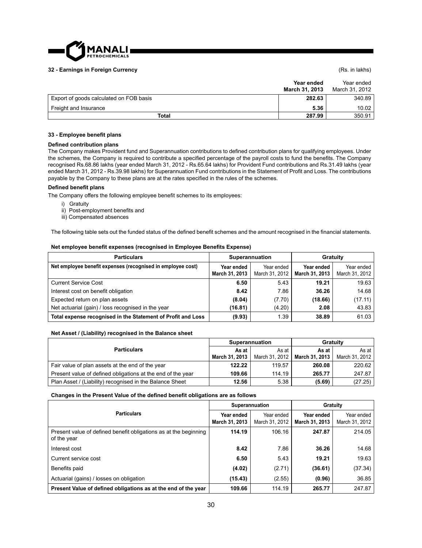

#### **32 - Earnings in Foreign Currency** (Rs. in lakhs)

|                                         | Year ended<br>March 31, 2013 | Year ended<br>March 31, 2012 |
|-----------------------------------------|------------------------------|------------------------------|
| Export of goods calculated on FOB basis | 282.63                       | 340.89                       |
| Freight and Insurance                   | 5.36                         | 10.02                        |
| <b>Total</b>                            | 287.99                       | 350.91                       |

#### **33 - Employee benefi t plans**

#### **Defi ned contribution plans**

The Company makes Provident fund and Superannuation contributions to defined contribution plans for qualifying employees. Under the schemes, the Company is required to contribute a specified percentage of the payroll costs to fund the benefits. The Company recognised Rs.68.86 lakhs (year ended March 31, 2012 - Rs.65.64 lakhs) for Provident Fund contributions and Rs.31.49 lakhs (year ended March 31, 2012 - Rs.39.98 lakhs) for Superannuation Fund contributions in the Statement of Profit and Loss. The contributions payable by the Company to these plans are at the rates specified in the rules of the schemes.

#### **Defi ned benefi t plans**

The Company offers the following employee benefit schemes to its employees:

- i) Gratuity
- ii) Post-employment benefits and
- iii) Compensated absences

The following table sets out the funded status of the defined benefit schemes and the amount recognised in the financial statements.

#### **Net employee benefit expenses (recognised in Employee Benefits Expense)**

| <b>Particulars</b>                                           | Superannuation               |                              |                              | Gratuity                     |
|--------------------------------------------------------------|------------------------------|------------------------------|------------------------------|------------------------------|
| Net employee benefit expenses (recognised in employee cost)  | Year ended<br>March 31, 2013 | Year ended<br>March 31, 2012 | Year ended<br>March 31, 2013 | Year ended<br>March 31, 2012 |
| <b>Current Service Cost</b>                                  | 6.50                         | 5.43                         | 19.21                        | 19.63                        |
| Interest cost on benefit obligation                          | 8.42                         | 7.86                         | 36.26                        | 14.68                        |
| Expected return on plan assets                               | (8.04)                       | (7.70)                       | (18.66)                      | (17.11)                      |
| Net actuarial (gain) / loss recognised in the year           | (16.81)                      | (4.20)                       | 2.08                         | 43.83                        |
| Total expense recognised in the Statement of Profit and Loss | (9.93)                       | 1.39                         | 38.89                        | 61.03                        |

#### **Net Asset / (Liability) recognised in the Balance sheet**

| <b>Particulars</b>                                          | Superannuation |                | <b>Gratuity</b> |                |  |
|-------------------------------------------------------------|----------------|----------------|-----------------|----------------|--|
|                                                             | As at          | As at          | As at           | As at          |  |
|                                                             | March 31, 2013 | March 31, 2012 | March 31, 2013  | March 31, 2012 |  |
| Fair value of plan assets at the end of the year            | 122.22         | 119.57         | 260.08          | 220.62         |  |
| Present value of defined obligations at the end of the year | 109.66         | 114.19         | 265.77          | 247.87         |  |
| Plan Asset / (Liability) recognised in the Balance Sheet    | 12.56          | 5.38           | (5.69)          | (27.25)        |  |

#### **Changes in the Present Value of the defi ned benefi t obligations are as follows**

|                                                                                 | Superannuation               |                              | Gratuity                     |                              |
|---------------------------------------------------------------------------------|------------------------------|------------------------------|------------------------------|------------------------------|
| <b>Particulars</b>                                                              | Year ended<br>March 31, 2013 | Year ended<br>March 31, 2012 | Year ended<br>March 31, 2013 | Year ended<br>March 31, 2012 |
| Present value of defined benefit obligations as at the beginning<br>of the year | 114.19                       | 106.16                       | 247.87                       | 214.05                       |
| Interest cost                                                                   | 8.42                         | 7.86                         | 36.26                        | 14.68                        |
| Current service cost                                                            | 6.50                         | 5.43                         | 19.21                        | 19.63                        |
| Benefits paid                                                                   | (4.02)                       | (2.71)                       | (36.61)                      | (37.34)                      |
| Actuarial (gains) / losses on obligation                                        | (15.43)                      | (2.55)                       | (0.96)                       | 36.85                        |
| Present Value of defined obligations as at the end of the year                  | 109.66                       | 114.19                       | 265.77                       | 247.87                       |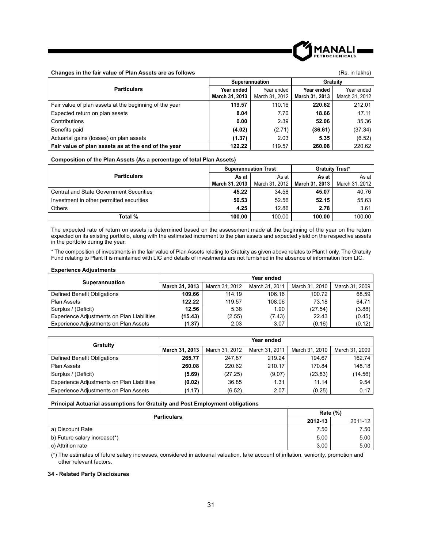

#### **Changes in the fair value of Plan Assets are as follows** (Rs. in lakhs) (Rs. in lakhs)

|                                                        | Superannuation |                | Gratuity       |                |
|--------------------------------------------------------|----------------|----------------|----------------|----------------|
| <b>Particulars</b>                                     | Year ended     | Year ended     | Year ended     | Year ended     |
|                                                        | March 31, 2013 | March 31, 2012 | March 31, 2013 | March 31, 2012 |
| Fair value of plan assets at the beginning of the year | 119.57         | 110.16         | 220.62         | 212.01         |
| Expected return on plan assets                         | 8.04           | 7.70           | 18.66          | 17.11          |
| Contributions                                          | 0.00           | 2.39           | 52.06          | 35.36          |
| Benefits paid                                          | (4.02)         | (2.71)         | (36.61)        | (37.34)        |
| Actuarial gains (losses) on plan assets                | (1.37)         | 2.03           | 5.35           | (6.52)         |
| Fair value of plan assets as at the end of the year    | 122.22         | 119.57         | 260.08         | 220.62         |

#### **Composition of the Plan Assets (As a percentage of total Plan Assets)**

|                                                | <b>Superannuation Trust</b> |                | <b>Gratuity Trust*</b> |                |
|------------------------------------------------|-----------------------------|----------------|------------------------|----------------|
| <b>Particulars</b>                             | As at                       | As at          | As at                  | As at I        |
|                                                | March 31, 2013              | March 31, 2012 | March 31, 2013         | March 31, 2012 |
| <b>Central and State Government Securities</b> | 45.22                       | 34.58          | 45.07                  | 40.76          |
| Investment in other permitted securities       | 50.53                       | 52.56          | 52.15                  | 55.63          |
| <b>Others</b>                                  | 4.25                        | 12.86          | 2.78                   | 3.61           |
| Total %                                        | 100.00                      | 100.00         | 100.00                 | 100.00         |

The expected rate of return on assets is determined based on the assessment made at the beginning of the year on the return expected on its existing portfolio, along with the estimated increment to the plan assets and expected yield on the respective assets in the portfolio during the year.

\* The composition of investments in the fair value of Plan Assets relating to Gratuity as given above relates to Plant I only. The Gratuity Fund relating to Plant II is maintained with LIC and details of investments are not furnished in the absence of information from LIC.

#### **Experience Adjustments**

|                                            | Year ended     |                |                |                |                |
|--------------------------------------------|----------------|----------------|----------------|----------------|----------------|
| Superannuation                             | March 31, 2013 | March 31, 2012 | March 31, 2011 | March 31, 2010 | March 31, 2009 |
| Defined Benefit Obligations                | 109.66         | 114.19         | 106.16         | 100.72         | 68.59          |
| <b>Plan Assets</b>                         | 122.22         | 119.57         | 108.06         | 73.18          | 64.71          |
| Surplus / (Deficit)                        | 12.56          | 5.38           | 1.90           | (27.54)        | (3.88)         |
| Experience Adjustments on Plan Liabilities | (15.43)        | (2.55)         | (7.43)         | 22.43          | (0.45)         |
| Experience Adjustments on Plan Assets      | (1.37)         | 2.03           | 3.07           | (0.16)         | (0.12)         |

| Gratuity                                   | Year ended     |                |                |                |                |
|--------------------------------------------|----------------|----------------|----------------|----------------|----------------|
|                                            | March 31, 2013 | March 31, 2012 | March 31, 2011 | March 31, 2010 | March 31, 2009 |
| Defined Benefit Obligations                | 265.77         | 247.87         | 219.24         | 194.67         | 162.74         |
| Plan Assets                                | 260.08         | 220.62         | 210.17         | 170.84         | 148.18         |
| Surplus / (Deficit)                        | (5.69)         | (27.25)        | (9.07)         | (23.83)        | (14.56)        |
| Experience Adjustments on Plan Liabilities | (0.02)         | 36.85          | 1.31           | 11.14          | 9.54           |
| Experience Adjustments on Plan Assets      | (1.17)         | (6.52)         | 2.07           | (0.25)         | 0.17           |

#### **Principal Actuarial assumptions for Gratuity and Post Employment obligations**

| <b>Particulars</b>           |      | Rate $(\%)$ |  |
|------------------------------|------|-------------|--|
|                              |      | 2011-12     |  |
| a) Discount Rate             | 7.50 | 7.50 l      |  |
| b) Future salary increase(*) | 5.00 | 5.00        |  |
| c) Attrition rate            | 3.00 | 5.00        |  |

(\*) The estimates of future salary increases, considered in actuarial valuation, take account of infl ation, seniority, promotion and other relevant factors.

#### **34 - Related Party Disclosures**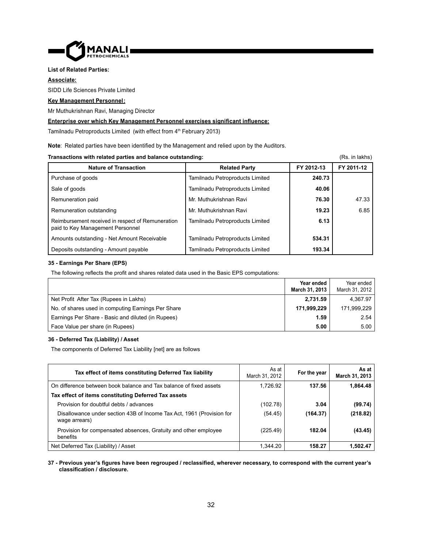

#### **List of Related Parties:**

#### **Associate:**

SIDD Life Sciences Private Limited

#### **Key Management Personnel :**

Mr Muthukrishnan Ravi, Managing Director

#### **<u>Enterprise over which Key Management Personnel exercises significant influence:</u>**

Tamilnadu Petroproducts Limited (with effect from 4<sup>th</sup> February 2013)

**Note:** Related parties have been identified by the Management and relied upon by the Auditors.

#### **Transactions with related parties and balance outstanding: Constanting and Constanting (Rs. in lakhs)** (Rs. in lakhs)

Nature of Transaction **Nature of Transaction Related Party FY 2012-13** FY 2011-12 Purchase of goods Tamilnadu Petroproducts Limited **240.73** Sale of goods Tamilnadu Petroproducts Limited **40.06** Remuneration paid **12.1331** Mr. Muthukrishnan Ravi **12.1331** 12.33 Remuneration outstanding Mr. Muthukrishnan Ravi **19.23** 6.85 Reimbursement received in respect of Remuneration paid to Key Management Personnel Tamilnadu Petroproducts Limited **6.13** Amounts outstanding - Net Amount Receivable Tamilnadu Petroproducts Limited **534.31** Deposits outstanding - Amount payable Tamilnadu Petroproducts Limited **193.34**

#### **35 - Earnings Per Share (EPS)**

The following reflects the profit and shares related data used in the Basic EPS computations:

|                                                    | Year ended     | Year ended     |
|----------------------------------------------------|----------------|----------------|
|                                                    | March 31, 2013 | March 31, 2012 |
| Net Profit After Tax (Rupees in Lakhs)             | 2.731.59       | 4.367.97       |
| No. of shares used in computing Earnings Per Share | 171.999.229    | 171.999.229    |
| Earnings Per Share - Basic and diluted (in Rupees) | 1.59           | 2.54           |
| Face Value per share (in Rupees)                   | 5.00           | 5.00           |

#### **36 - Deferred Tax (Liability) / Asset**

The components of Deferred Tax Liability [net] are as follows

| Tax effect of items constituting Deferred Tax liability                                | As at<br>March 31, 2012 | For the year | As at I<br>March 31, 2013 |
|----------------------------------------------------------------------------------------|-------------------------|--------------|---------------------------|
| On difference between book balance and Tax balance of fixed assets                     | 1.726.92                | 137.56       | 1,864.48                  |
| Tax effect of items constituting Deferred Tax assets                                   |                         |              |                           |
| Provision for doubtful debts / advances                                                | (102.78)                | 3.04         | (99.74)                   |
| Disallowance under section 43B of Income Tax Act, 1961 (Provision for<br>wage arrears) | (54.45)                 | (164.37)     | (218.82)                  |
| Provision for compensated absences, Gratuity and other employee<br>benefits            | (225.49)                | 182.04       | (43.45)                   |
| Net Deferred Tax (Liability) / Asset                                                   | 1,344.20                | 158.27       | 1,502.47                  |

#### **37 - Previous year's fi gures have been regrouped / reclassifi ed, wherever necessary, to correspond with the current year's classifi cation / disclosure.**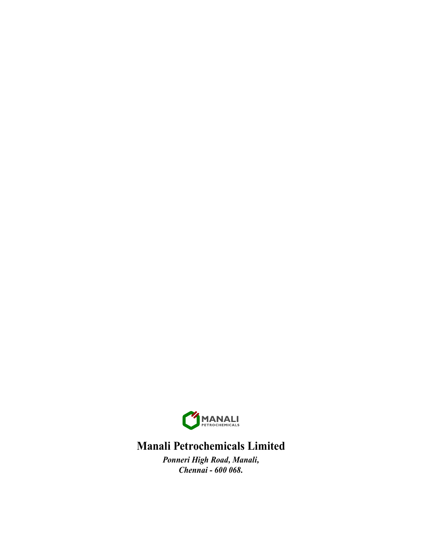

## **Manali Petrochemicals Limited**

*Ponneri High Road, Manali, Chennai - 600 068.*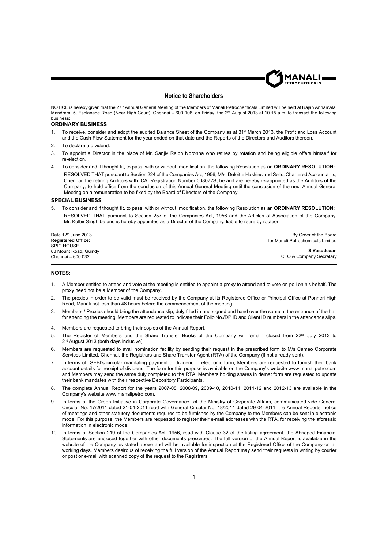

#### **Notice to Shareholders**

NOTICE is hereby given that the 27<sup>th</sup> Annual General Meeting of the Members of Manali Petrochemicals Limited will be held at Rajah Annamalai Mandram, 5, Esplanade Road (Near High Court), Chennai - 600 108, on Friday, the 2<sup>nd</sup> August 2013 at 10.15 a.m. to transact the following business:

#### **ORDINARY BUSINESS**

- 1. To receive, consider and adopt the audited Balance Sheet of the Company as at 31<sup>st</sup> March 2013, the Profit and Loss Account and the Cash Flow Statement for the year ended on that date and the Reports of the Directors and Auditors thereon.
- 2. To declare a dividend.
- 3. To appoint a Director in the place of Mr. Sanjiv Ralph Noronha who retires by rotation and being eligible offers himself for re-election.
- 4. To consider and if thought fit, to pass, with or without modification, the following Resolution as an ORDINARY RESOLUTION: RESOLVED THAT pursuant to Section 224 of the Companies Act, 1956, M/s. Deloitte Haskins and Sells, Chartered Accountants, Chennai, the retiring Auditors with ICAI Registration Number 008072S, be and are hereby re-appointed as the Auditors of the Company, to hold office from the conclusion of this Annual General Meeting until the conclusion of the next Annual General Meeting on a remuneration to be fixed by the Board of Directors of the Company.

#### **SPECIAL BUSINESS**

5. To consider and if thought fit, to pass, with or without modification, the following Resolution as an **ORDINARY RESOLUTION**: RESOLVED THAT pursuant to Section 257 of the Companies Act, 1956 and the Articles of Association of the Company, Mr. Kulbir Singh be and is hereby appointed as a Director of the Company, liable to retire by rotation.

| Date $12th$ June 2013     | By Order of the Board             |
|---------------------------|-----------------------------------|
| <b>Registered Office:</b> | for Manali Petrochemicals Limited |
| <b>SPIC HOUSE</b>         |                                   |
| 88 Mount Road, Guindy     | S Vasudevan                       |
| Chennai – 600 032         | CFO & Company Secretary           |

#### **NOTES:**

- 1. A Member entitled to attend and vote at the meeting is entitled to appoint a proxy to attend and to vote on poll on his behalf. The proxy need not be a Member of the Company.
- The proxies in order to be valid must be received by the Company at its Registered Office or Principal Office at Ponneri High Road, Manali not less than 48 hours before the commencement of the meeting.
- 3. Members / Proxies should bring the attendance slip, duly filled in and signed and hand over the same at the entrance of the hall for attending the meeting. Members are requested to indicate their Folio No./DP ID and Client ID numbers in the attendance slips.
- 4. Members are requested to bring their copies of the Annual Report.
- 5. The Register of Members and the Share Transfer Books of the Company will remain closed from 22<sup>nd</sup> July 2013 to 2 nd August 2013 (both days inclusive).
- 6. Members are requested to avail nomination facility by sending their request in the prescribed form to M/s Cameo Corporate Services Limited, Chennai, the Registrars and Share Transfer Agent (RTA) of the Company (if not already sent).
- 7. In terms of SEBI's circular mandating payment of dividend in electronic form, Members are requested to furnish their bank account details for receipt of dividend. The form for this purpose is available on the Company's website www.manalipetro.com and Members may send the same duly completed to the RTA. Members holding shares in demat form are requested to update their bank mandates with their respective Depository Participants.
- 8. The complete Annual Report for the years 2007-08, 2008-09, 2009-10, 2010-11, 2011-12 and 2012-13 are available in the Company's website www.manalipetro.com.
- In terms of the Green Initiative in Corporate Governance of the Ministry of Corporate Affairs, communicated vide General Circular No. 17/2011 dated 21-04-2011 read with General Circular No. 18/2011 dated 29-04-2011, the Annual Reports, notice of meetings and other statutory documents required to be furnished by the Company to the Members can be sent in electronic mode. For this purpose, the Members are requested to register their e-mail addresses with the RTA, for receiving the aforesaid information in electronic mode.
- 10. In terms of Section 219 of the Companies Act, 1956, read with Clause 32 of the listing agreement, the Abridged Financial Statements are enclosed together with other documents prescribed. The full version of the Annual Report is available in the website of the Company as stated above and will be available for inspection at the Registered Office of the Company on all working days. Members desirous of receiving the full version of the Annual Report may send their requests in writing by courier or post or e-mail with scanned copy of the request to the Registrars.